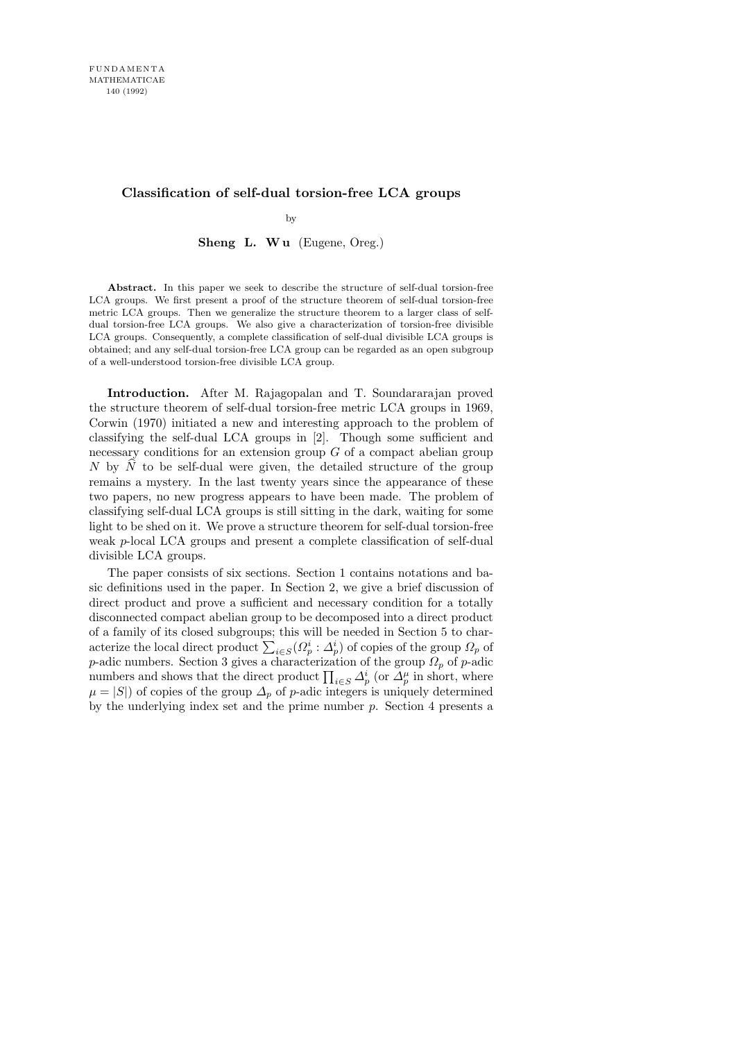## Classification of self-dual torsion-free LCA groups

by

Sheng L. Wu (Eugene, Oreg.)

Abstract. In this paper we seek to describe the structure of self-dual torsion-free LCA groups. We first present a proof of the structure theorem of self-dual torsion-free metric LCA groups. Then we generalize the structure theorem to a larger class of selfdual torsion-free LCA groups. We also give a characterization of torsion-free divisible LCA groups. Consequently, a complete classification of self-dual divisible LCA groups is obtained; and any self-dual torsion-free LCA group can be regarded as an open subgroup of a well-understood torsion-free divisible LCA group.

Introduction. After M. Rajagopalan and T. Soundararajan proved the structure theorem of self-dual torsion-free metric LCA groups in 1969, Corwin (1970) initiated a new and interesting approach to the problem of classifying the self-dual LCA groups in [2]. Though some sufficient and necessary conditions for an extension group  $G$  of a compact abelian group N by  $\tilde{N}$  to be self-dual were given, the detailed structure of the group remains a mystery. In the last twenty years since the appearance of these two papers, no new progress appears to have been made. The problem of classifying self-dual LCA groups is still sitting in the dark, waiting for some light to be shed on it. We prove a structure theorem for self-dual torsion-free weak p-local LCA groups and present a complete classification of self-dual divisible LCA groups.

The paper consists of six sections. Section 1 contains notations and basic definitions used in the paper. In Section 2, we give a brief discussion of direct product and prove a sufficient and necessary condition for a totally disconnected compact abelian group to be decomposed into a direct product of a family of its closed subgroups; this will be needed in Section 5 to characterize the local direct product  $\sum_{i \in S} (\Omega_p^i : \Delta_p^i)$  of copies of the group  $\Omega_p$  of p-adic numbers. Section 3 gives a characterization of the group  $\Omega_p$  of p-adic numbers and shows that the direct product  $\prod_{i \in S} \Delta_p^i$  (or  $\Delta_p^{\mu}$  in short, where  $\mu = |S|$  of copies of the group  $\Delta_p$  of p-adic integers is uniquely determined by the underlying index set and the prime number  $p$ . Section 4 presents a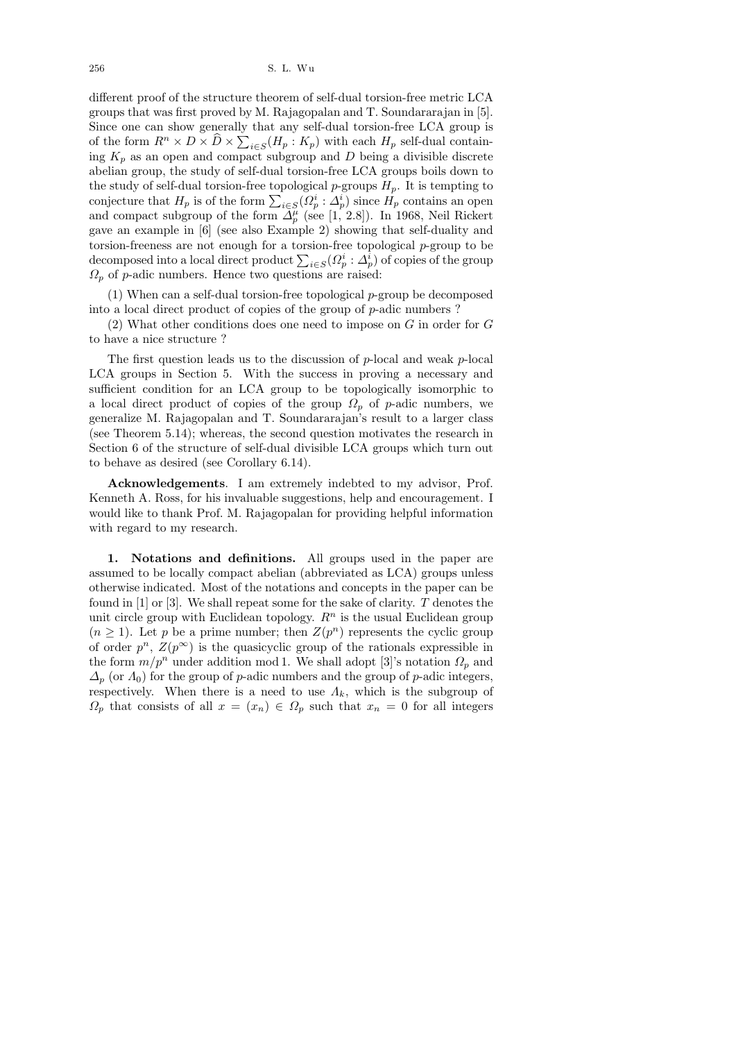different proof of the structure theorem of self-dual torsion-free metric LCA groups that was first proved by M. Rajagopalan and T. Soundararajan in [5]. Since one can show generally that any self-dual torsion-free LCA group is of the form  $R^n \times D \times \widehat{D} \times \sum_{i \in S} (H_p : K_p)$  with each  $H_p$  self-dual containing  $K_p$  as an open and compact subgroup and D being a divisible discrete abelian group, the study of self-dual torsion-free LCA groups boils down to the study of self-dual torsion-free topological p-groups  $H_p$ . It is tempting to conjecture that  $H_p$  is of the form  $\sum_{i \in S} (Q_p^i : \Delta_p^i)$  since  $H_p$  contains an open and compact subgroup of the form  $\tilde{\Delta}_{p}^{\mu}$  (see [1, 2.8]). In 1968, Neil Rickert gave an example in [6] (see also Example 2) showing that self-duality and torsion-freeness are not enough for a torsion-free topological  $p$ -group to be decomposed into a local direct product  $\sum_{i \in S} (\Omega_p^i : \Delta_p^i)$  of copies of the group  $\Omega_p$  of p-adic numbers. Hence two questions are raised:

(1) When can a self-dual torsion-free topological  $p$ -group be decomposed into a local direct product of copies of the group of  $p$ -adic numbers ?

 $(2)$  What other conditions does one need to impose on G in order for G to have a nice structure ?

The first question leads us to the discussion of  $p$ -local and weak  $p$ -local LCA groups in Section 5. With the success in proving a necessary and sufficient condition for an LCA group to be topologically isomorphic to a local direct product of copies of the group  $\Omega_p$  of p-adic numbers, we generalize M. Rajagopalan and T. Soundararajan's result to a larger class (see Theorem 5.14); whereas, the second question motivates the research in Section 6 of the structure of self-dual divisible LCA groups which turn out to behave as desired (see Corollary 6.14).

Acknowledgements. I am extremely indebted to my advisor, Prof. Kenneth A. Ross, for his invaluable suggestions, help and encouragement. I would like to thank Prof. M. Rajagopalan for providing helpful information with regard to my research.

1. Notations and definitions. All groups used in the paper are assumed to be locally compact abelian (abbreviated as LCA) groups unless otherwise indicated. Most of the notations and concepts in the paper can be found in [1] or [3]. We shall repeat some for the sake of clarity. T denotes the unit circle group with Euclidean topology.  $R<sup>n</sup>$  is the usual Euclidean group  $(n \geq 1)$ . Let p be a prime number; then  $Z(p^n)$  represents the cyclic group of order  $p^n$ ,  $Z(p^{\infty})$  is the quasicyclic group of the rationals expressible in the form  $m/p^n$  under addition mod 1. We shall adopt [3]'s notation  $\Omega_p$  and  $\Delta_p$  (or  $\Lambda_0$ ) for the group of p-adic numbers and the group of p-adic integers, respectively. When there is a need to use  $\Lambda_k$ , which is the subgroup of  $\Omega_p$  that consists of all  $x = (x_n) \in \Omega_p$  such that  $x_n = 0$  for all integers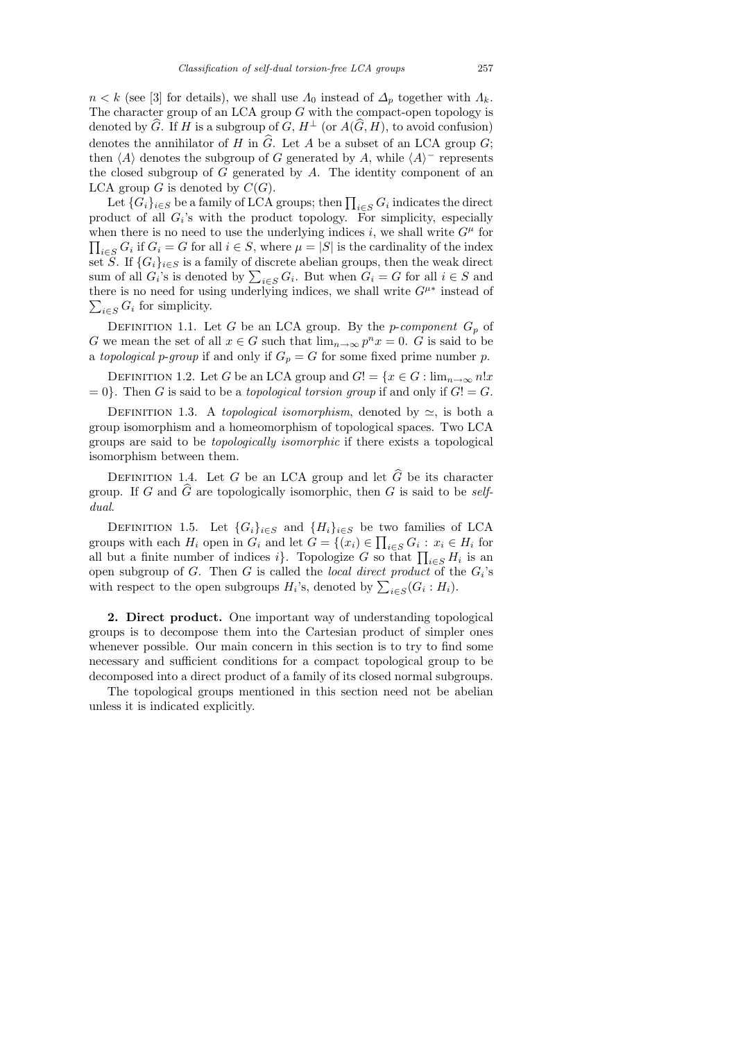$n < k$  (see [3] for details), we shall use  $\Lambda_0$  instead of  $\Delta_p$  together with  $\Lambda_k$ . The character group of an LCA group  $G$  with the compact-open topology is denoted by  $\widehat{G}$ . If H is a subgroup of  $G, H^{\perp}$  (or  $A(\widehat{G}, H)$ , to avoid confusion) denotes the annihilator of H in  $\widehat{G}$ . Let A be a subset of an LCA group G; then  $\langle A \rangle$  denotes the subgroup of G generated by A, while  $\langle A \rangle$ <sup>-</sup> represents the closed subgroup of  $G$  generated by  $A$ . The identity component of an LCA group G is denoted by  $C(G)$ .

Let  $\{G_i\}_{i\in S}$  be a family of LCA groups; then  $\prod_{i\in S} G_i$  indicates the direct product of all  $G_i$ 's with the product topology. For simplicity, especially when there is no need to use the underlying indices i, we shall write  $G^{\mu}$  for  $\prod_{i\in S} G_i$  if  $G_i = G$  for all  $i \in S$ , where  $\mu = |S|$  is the cardinality of the index set S. If  $\{G_i\}_{i\in S}$  is a family of discrete abelian groups, then the weak direct sum of all  $G_i$ 's is denoted by  $\sum_{i \in S} G_i$ . But when  $G_i = G$  for all  $i \in S$  and there is no need for using underlying indices, we shall write  $G^{\mu*}$  instead of  $\sum_{i \in S} G_i$  for simplicity.

DEFINITION 1.1. Let G be an LCA group. By the *p-component*  $G_p$  of G we mean the set of all  $x \in G$  such that  $\lim_{n \to \infty} p^n x = 0$ . G is said to be a topological p-group if and only if  $G_p = G$  for some fixed prime number p.

DEFINITION 1.2. Let G be an LCA group and  $G! = \{x \in G : \lim_{n \to \infty} n!x\}$  $= 0$ . Then G is said to be a *topological torsion group* if and only if  $G! = G$ .

DEFINITION 1.3. A topological isomorphism, denoted by  $\simeq$ , is both a group isomorphism and a homeomorphism of topological spaces. Two LCA groups are said to be topologically isomorphic if there exists a topological isomorphism between them.

DEFINITION 1.4. Let G be an LCA group and let  $\widehat{G}$  be its character group. If G and  $\widehat{G}$  are topologically isomorphic, then G is said to be selfdual.

DEFINITION 1.5. Let  $\{G_i\}_{i\in S}$  and  $\{H_i\}_{i\in S}$  be two families of LCA groups with each  $H_i$  open in  $G_i$  and let  $G = \{(x_i) \in \prod_{i \in S} G_i : x_i \in H_i \text{ for } i \in I\}$ all but a finite number of indices i}. Topologize G so that  $\prod_{i\in S} H_i$  is an open subgroup of G. Then G is called the *local direct product* of the  $G_i$ 's with respect to the open subgroups  $H_i$ 's, denoted by  $\sum_{i \in S} (G_i : H_i)$ .

2. Direct product. One important way of understanding topological groups is to decompose them into the Cartesian product of simpler ones whenever possible. Our main concern in this section is to try to find some necessary and sufficient conditions for a compact topological group to be decomposed into a direct product of a family of its closed normal subgroups.

The topological groups mentioned in this section need not be abelian unless it is indicated explicitly.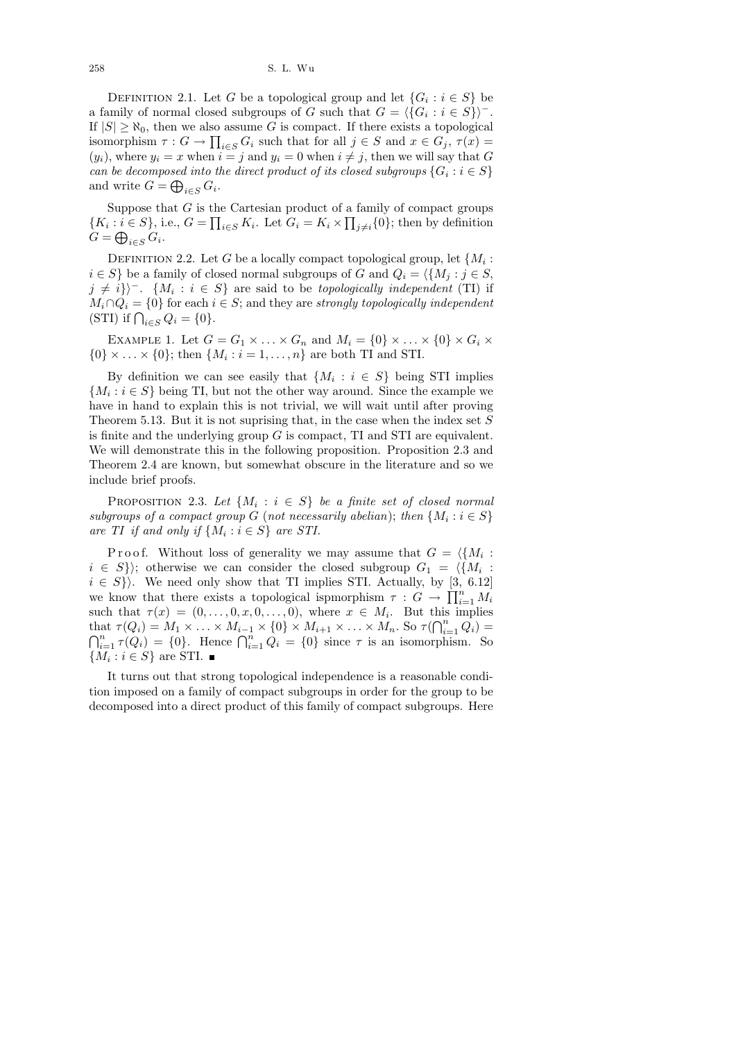DEFINITION 2.1. Let G be a topological group and let  $\{G_i : i \in S\}$  be a family of normal closed subgroups of G such that  $G = \langle \{G_i : i \in S\} \rangle$ <sup>-</sup>. If  $|S| \geq \aleph_0$ , then we also assume G is compact. If there exists a topological isomorphism  $\tau: G \to \prod_{i \in S} G_i$  such that for all  $j \in S$  and  $x \in G_j$ ,  $\tau(x) =$  $(y_i)$ , where  $y_i = x$  when  $i = j$  and  $y_i = 0$  when  $i \neq j$ , then we will say that G can be decomposed into the direct product of its closed subgroups  $\{G_i : i \in S\}$ and write  $G = \bigoplus_{i \in S} G_i$ .

Suppose that  $G$  is the Cartesian product of a family of compact groups  $\{K_i : i \in S\}$ , i.e.,  $G = \prod_{i \in S} K_i$ . Let  $G_i = K_i \times \prod_{j \neq i} \{0\}$ ; then by definition  $G = \bigoplus_{i \in S} G_i.$ 

DEFINITION 2.2. Let G be a locally compact topological group, let  $\{M_i:$  $i \in S$  be a family of closed normal subgroups of G and  $Q_i = \langle \{M_i : j \in S,$  $j \neq i$ }<sup>†</sup>.  $\{M_i : i \in S\}$  are said to be *topologically independent* (TI) if  $M_i \cap Q_i = \{0\}$  for each  $i \in S$ ; and they are strongly topologically independent (STI) if  $\bigcap_{i \in S} Q_i = \{0\}.$ 

EXAMPLE 1. Let  $G = G_1 \times \ldots \times G_n$  and  $M_i = \{0\} \times \ldots \times \{0\} \times G_i \times$  $\{0\} \times \ldots \times \{0\}$ ; then  $\{M_i : i = 1, \ldots, n\}$  are both TI and STI.

By definition we can see easily that  $\{M_i : i \in S\}$  being STI implies  ${M<sub>i</sub> : i \in S}$  being TI, but not the other way around. Since the example we have in hand to explain this is not trivial, we will wait until after proving Theorem 5.13. But it is not suprising that, in the case when the index set  $S$ is finite and the underlying group  $G$  is compact, TI and STI are equivalent. We will demonstrate this in the following proposition. Proposition 2.3 and Theorem 2.4 are known, but somewhat obscure in the literature and so we include brief proofs.

PROPOSITION 2.3. Let  $\{M_i : i \in S\}$  be a finite set of closed normal subgroups of a compact group G (not necessarily abelian); then  $\{M_i : i \in S\}$ are TI if and only if  $\{M_i : i \in S\}$  are STI.

Proof. Without loss of generality we may assume that  $G = \langle \{M_i :$  $i \in S$ }); otherwise we can consider the closed subgroup  $G_1 = \langle \{M_i :$  $i \in S$ . We need only show that TI implies STI. Actually, by [3, 6.12] we know that there exists a topological ispmorphism  $\tau : G \to \prod_{i=1}^n M_i$ such that  $\tau(x) = (0, \ldots, 0, x, 0, \ldots, 0)$ , where  $x \in M_i$ . But this implies that  $\tau(Q_i) = M_1 \times \ldots \times M_{i-1} \times \{0\} \times M_{i+1} \times \ldots \times M_n$ . So  $\tau(\bigcap_{i=1}^n Q_i) =$  $\bigcap_{i=1}^n \tau(Q_i) = \{0\}.$  Hence  $\bigcap_{i=1}^n Q_i = \{0\}$  since  $\tau$  is an isomorphism. So  ${M_i : i \in S}$  are STI.

It turns out that strong topological independence is a reasonable condition imposed on a family of compact subgroups in order for the group to be decomposed into a direct product of this family of compact subgroups. Here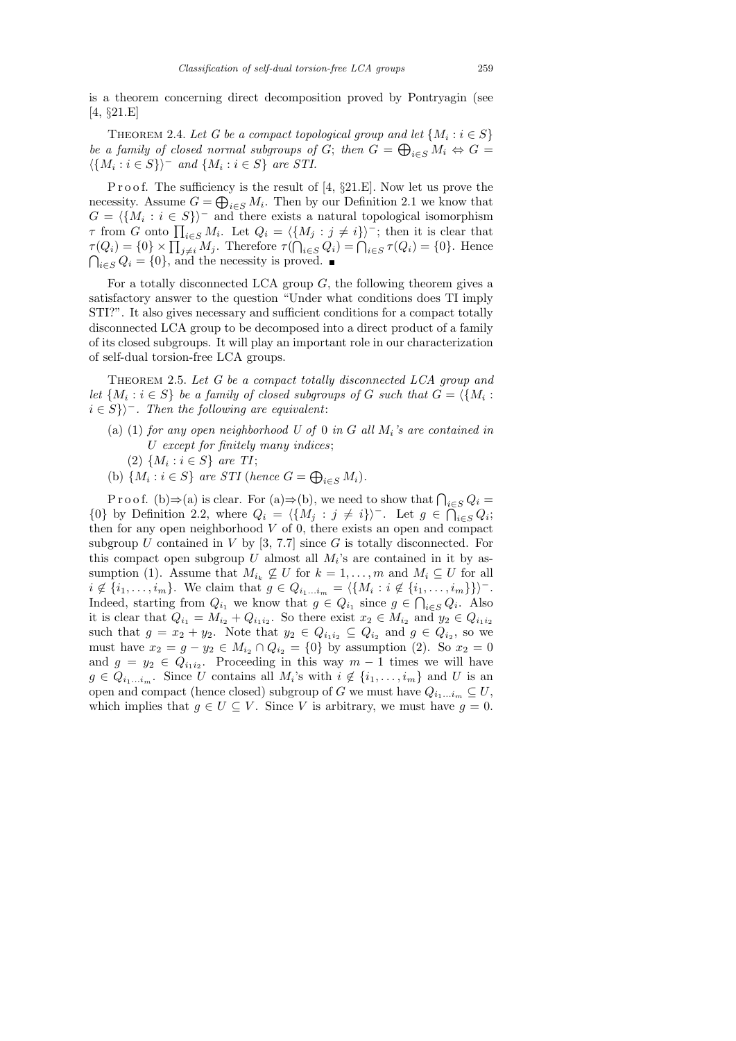is a theorem concerning direct decomposition proved by Pontryagin (see [4, §21.E]

THEOREM 2.4. Let G be a compact topological group and let  $\{M_i : i \in S\}$ be a family of closed normal subgroups of G; then  $G = \bigoplus_{i \in S} M_i \Leftrightarrow G =$  $\langle \{M_i : i \in S\} \rangle$ <sup>-</sup> and  $\{M_i : i \in S\}$  are STI.

P r o o f. The sufficiency is the result of  $[4, §21.E]$ . Now let us prove the necessity. Assume  $G = \bigoplus_{i \in S} M_i$ . Then by our Definition 2.1 we know that  $G = \langle \{M_i : i \in S\} \rangle$ <sup>-</sup> and there exists a natural topological isomorphism  $\tau$  from G onto  $\prod_{i\in S} M_i$ . Let  $Q_i = \langle \{M_j : j \neq i\} \rangle^-$ ; then it is clear that  $\tau(Q_i) = \{0\} \times \prod_{j \neq i} M_j$ . Therefore  $\tau(\bigcap_{i \in S} Q_i) = \bigcap_{i \in S} \tau(Q_i) = \{0\}$ . Hence  $\bigcap_{i\in S} Q_i = \{0\}$ , and the necessity is proved.

For a totally disconnected LCA group  $G$ , the following theorem gives a satisfactory answer to the question "Under what conditions does TI imply STI?". It also gives necessary and sufficient conditions for a compact totally disconnected LCA group to be decomposed into a direct product of a family of its closed subgroups. It will play an important role in our characterization of self-dual torsion-free LCA groups.

THEOREM 2.5. Let G be a compact totally disconnected LCA group and let  $\{M_i : i \in S\}$  be a family of closed subgroups of G such that  $G = \langle \{M_i : i \in S\} \rangle$  $i \in S$ }<sup>†</sup>. Then the following are equivalent:

- (a) (1) for any open neighborhood U of 0 in G all  $M_i$ 's are contained in U except for finitely many indices;
	- (2)  $\{M_i : i \in S\}$  are TI;
- (b)  $\{M_i : i \in S\}$  are STI (hence  $G = \bigoplus_{i \in S} M_i$ ).

P r o o f. (b)  $\Rightarrow$  (a) is clear. For (a)  $\Rightarrow$  (b), we need to show that  $\bigcap_{i \in S} Q_i =$  ${0}$  by Definition 2.2, where  $Q_i = \langle {M_j : j \neq i} \rangle$ <sup>-</sup>. Let  $g \in \overline{\bigcap}_{i \in S} Q_i$ ; then for any open neighborhood  $V$  of 0, there exists an open and compact subgroup U contained in V by  $[3, 7.7]$  since G is totally disconnected. For this compact open subgroup U almost all  $M_i$ 's are contained in it by assumption (1). Assume that  $M_{i_k} \not\subseteq U$  for  $k = 1, \ldots, m$  and  $M_i \subseteq U$  for all  $i \notin \{i_1, \ldots, i_m\}$ . We claim that  $g \in Q_{i_1...i_m} = \langle \{M_i : i \notin \{i_1, \ldots, i_m\}\} \rangle$ . Indeed, starting from  $Q_{i_1}$  we know that  $g \in Q_{i_1}$  since  $g \in \bigcap_{i \in S} Q_i$ . Also it is clear that  $Q_{i_1} = M_{i_2} + Q_{i_1 i_2}$ . So there exist  $x_2 \in M_{i_2}$  and  $y_2 \in Q_{i_1 i_2}$ such that  $g = x_2 + y_2$ . Note that  $y_2 \in Q_{i_1 i_2} \subseteq Q_{i_2}$  and  $g \in Q_{i_2}$ , so we must have  $x_2 = g - y_2 \in M_{i_2} \cap Q_{i_2} = \{0\}$  by assumption (2). So  $x_2 = 0$ and  $g = y_2 \in Q_{i_1 i_2}$ . Proceeding in this way  $m-1$  times we will have  $g \in Q_{i_1...i_m}$ . Since U contains all  $M_i$ 's with  $i \notin \{i_1,...,i_m\}$  and U is an open and compact (hence closed) subgroup of G we must have  $Q_{i_1...i_m} \subseteq U$ , which implies that  $g \in U \subseteq V$ . Since V is arbitrary, we must have  $g = 0$ .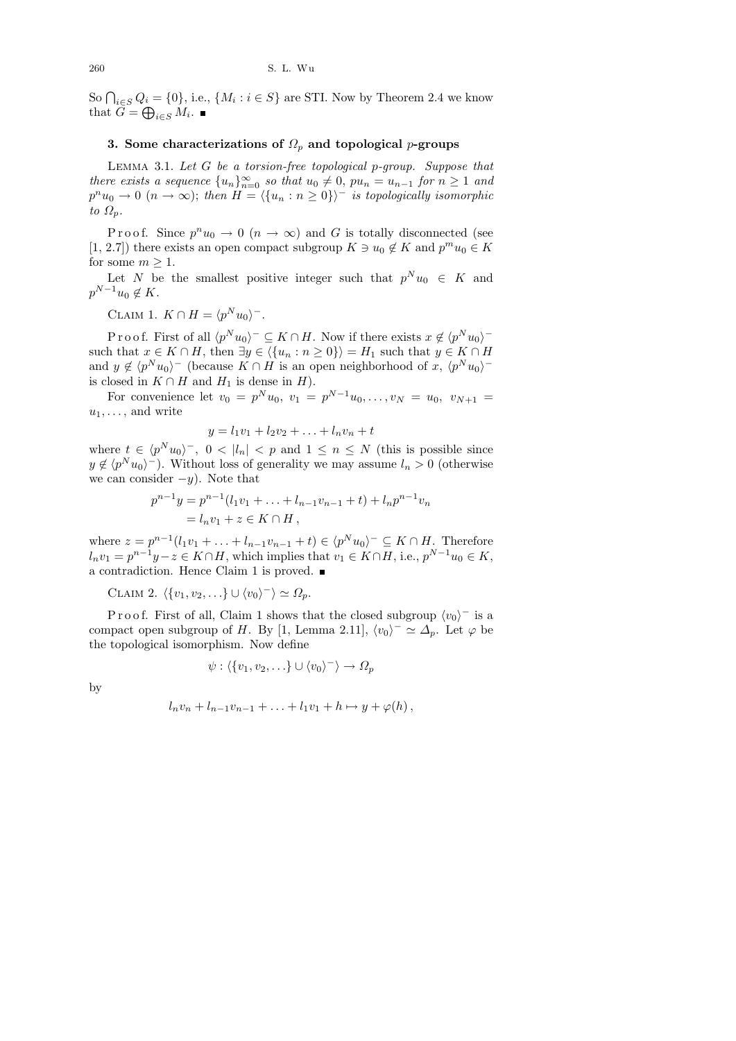So  $\bigcap_{i\in S}Q_i = \{0\}$ , i.e.,  $\{M_i : i \in S\}$  are STI. Now by Theorem 2.4 we know that  $G = \bigoplus_{i \in S} M_i$ .

## 3. Some characterizations of  $\Omega_p$  and topological p-groups

Lemma 3.1. Let G be a torsion-free topological p-group. Suppose that there exists a sequence  ${u_n}_{n=0}^{\infty}$  so that  $u_0 \neq 0$ ,  $pu_n = u_{n-1}$  for  $n \geq 1$  and  $p^n u_0 \to 0$   $(n \to \infty)$ ; then  $H = \langle \{u_n : n \ge 0\} \rangle$ <sup>-</sup> is topologically isomorphic to  $\Omega_p$ .

Proof. Since  $p^n u_0 \to 0$   $(n \to \infty)$  and G is totally disconnected (see [1, 2.7]) there exists an open compact subgroup  $K \ni u_0 \notin K$  and  $p^m u_0 \in K$ for some  $m \geq 1$ .

Let N be the smallest positive integer such that  $p^N u_0 \in K$  and  $p^{N-1}u_0 \notin K$ .

CLAIM 1.  $K \cap H = \langle p^N u_0 \rangle$ <sup>-</sup>.

Proof. First of all  $\langle p^N u_0 \rangle^- \subseteq K \cap H$ . Now if there exists  $x \notin \langle p^N u_0 \rangle^$ such that  $x \in K \cap H$ , then  $\exists y \in \langle \{u_n : n \geq 0\} \rangle = H_1$  such that  $y \in K \cap H$ and  $y \notin \langle p^N u_0 \rangle^-$  (because  $K \cap H$  is an open neighborhood of x,  $\langle p^N u_0 \rangle^$ is closed in  $K \cap H$  and  $H_1$  is dense in  $H$ ).

For convenience let  $v_0 = p^N u_0$ ,  $v_1 = p^{N-1} u_0, \ldots, v_N = u_0$ ,  $v_{N+1} =$  $u_1, \ldots,$  and write

$$
y = l_1v_1 + l_2v_2 + \ldots + l_nv_n + t
$$

where  $t \in \langle p^N u_0 \rangle^-$ ,  $0 < |l_n| < p$  and  $1 \le n \le N$  (this is possible since  $y \notin \langle p^N u_0 \rangle$ <sup>-</sup>). Without loss of generality we may assume  $l_n > 0$  (otherwise we can consider  $-y$ ). Note that

$$
p^{n-1}y = p^{n-1}(l_1v_1 + \dots + l_{n-1}v_{n-1} + t) + l_np^{n-1}v_n
$$
  
=  $l_nv_1 + z \in K \cap H$ ,

where  $z = p^{n-1}(l_1v_1 + \ldots + l_{n-1}v_{n-1} + t) \in \langle p^N u_0 \rangle^- \subseteq K \cap H$ . Therefore  $l_n v_1 = p^{n-1} y - z \in K \cap H$ , which implies that  $v_1 \in K \cap H$ , i.e.,  $p^{N-1} u_0 \in K$ , a contradiction. Hence Claim 1 is proved.

CLAIM 2.  $\langle \{v_1, v_2, ...\} \cup \langle v_0 \rangle^{-} \rangle \simeq \Omega_p$ .

P r o o f. First of all, Claim 1 shows that the closed subgroup  $\langle v_0 \rangle$ <sup>-</sup> is a compact open subgroup of H. By [1, Lemma 2.11],  $\langle v_0 \rangle^- \simeq \Delta_p$ . Let  $\varphi$  be the topological isomorphism. Now define

$$
\psi: \langle \{v_1, v_2, \ldots\} \cup \langle v_0 \rangle^- \rangle \to \Omega_p
$$

by

$$
l_n v_n + l_{n-1} v_{n-1} + \ldots + l_1 v_1 + h \mapsto y + \varphi(h),
$$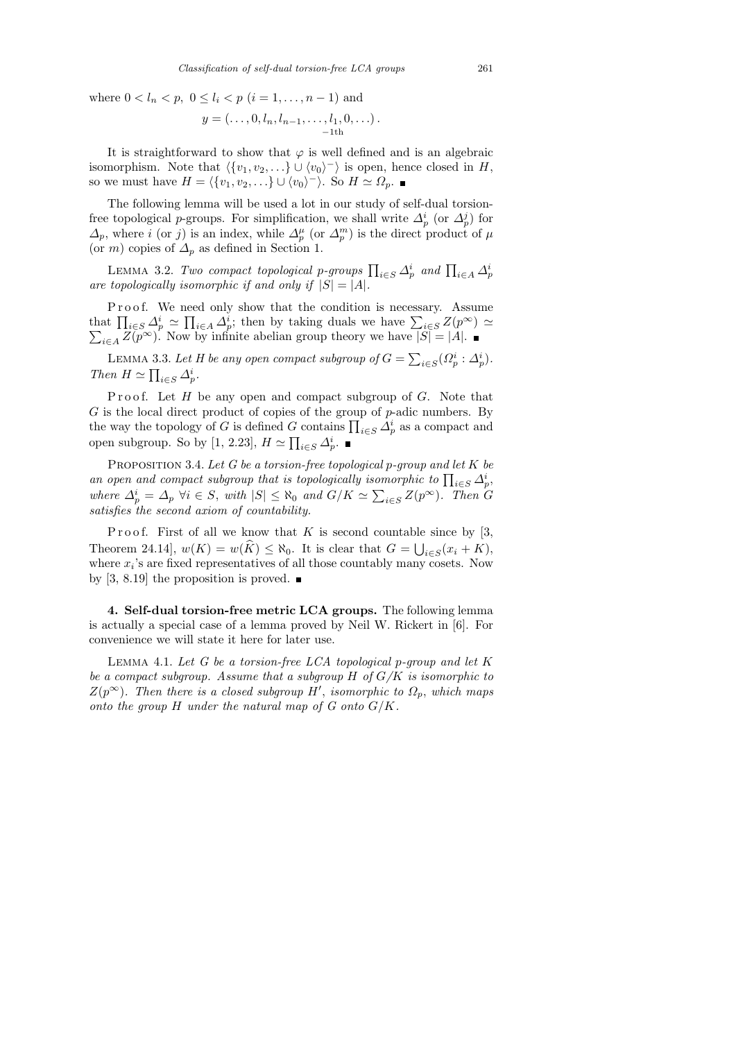where  $0 < l_n < p, 0 \le l_i < p$   $(i = 1, ..., n - 1)$  and

$$
y = (\ldots, 0, l_n, l_{n-1}, \ldots, l_1, 0, \ldots).
$$

It is straightforward to show that  $\varphi$  is well defined and is an algebraic isomorphism. Note that  $\langle \{v_1, v_2, ...\} \cup \langle v_0 \rangle \rangle$  is open, hence closed in H, so we must have  $H = \langle \{v_1, v_2, ...\} \cup \langle v_0 \rangle^- \rangle$ . So  $H \simeq \Omega_p$ .

The following lemma will be used a lot in our study of self-dual torsionfree topological p-groups. For simplification, we shall write  $\Delta_p^i$  (or  $\Delta_p^j$ ) for  $\Delta_p$ , where i (or j) is an index, while  $\Delta_p^{\mu}$  (or  $\Delta_p^m$ ) is the direct product of  $\mu$ (or m) copies of  $\Delta_p$  as defined in Section 1.

LEMMA 3.2. Two compact topological p-groups  $\prod_{i \in S} \Delta_p^i$  and  $\prod_{i \in A} \Delta_p^i$ are topologically isomorphic if and only if  $|S| = |A|$ .

Proof. We need only show that the condition is necessary. Assume that  $\prod_{i\in S} \Delta_p^i \simeq \prod_{i\in A} \Delta_p^i$ ; then by taking duals we have  $\Sigma$  $\sum$  $\sum_{i\in S} Z(p^{\infty}) \simeq$  $i \in A$   $\widetilde{Z(p^{\infty})}$ . Now by infinite abelian group theory we have  $|\widetilde{S|} = |A|$ .

LEMMA 3.3. Let H be any open compact subgroup of  $G = \sum_{i \in S} (\Omega_p^i : \Delta_p^i)$ . Then  $H \simeq \prod_{i \in S} \Delta_p^i$ .

Proof. Let  $H$  be any open and compact subgroup of  $G$ . Note that  $G$  is the local direct product of copies of the group of  $p$ -adic numbers. By the way the topology of G is defined G contains  $\prod_{i\in S} \Delta_p^i$  as a compact and open subgroup. So by [1, 2.23],  $H \simeq \prod_{i \in S} \Delta_p^i$ .

PROPOSITION 3.4. Let G be a torsion-free topological p-group and let K be an open and compact subgroup that is topologically isomorphic to  $\prod_{i \in S} \Delta_p^i$ , where  $\Delta_p^i = \Delta_p \ \forall i \in S$ , with  $|S| \leq \aleph_0$  and  $G/K \simeq \sum_{i \in S} Z(p^{\infty})$ . Then G satisfies the second axiom of countability.

Proof. First of all we know that K is second countable since by  $[3,$ Theorem 24.14,  $w(K) = w(K) \le \aleph_0$ . It is clear that  $G = \bigcup_{i \in S} (x_i + K)$ , where  $x_i$ 's are fixed representatives of all those countably many cosets. Now by [3, 8.19] the proposition is proved.  $\blacksquare$ 

4. Self-dual torsion-free metric LCA groups. The following lemma is actually a special case of a lemma proved by Neil W. Rickert in [6]. For convenience we will state it here for later use.

LEMMA 4.1. Let  $G$  be a torsion-free LCA topological p-group and let  $K$ be a compact subgroup. Assume that a subgroup  $H$  of  $G/K$  is isomorphic to  $Z(p^{\infty})$ . Then there is a closed subgroup H', isomorphic to  $\Omega_p$ , which maps onto the group  $H$  under the natural map of  $G$  onto  $G/K$ .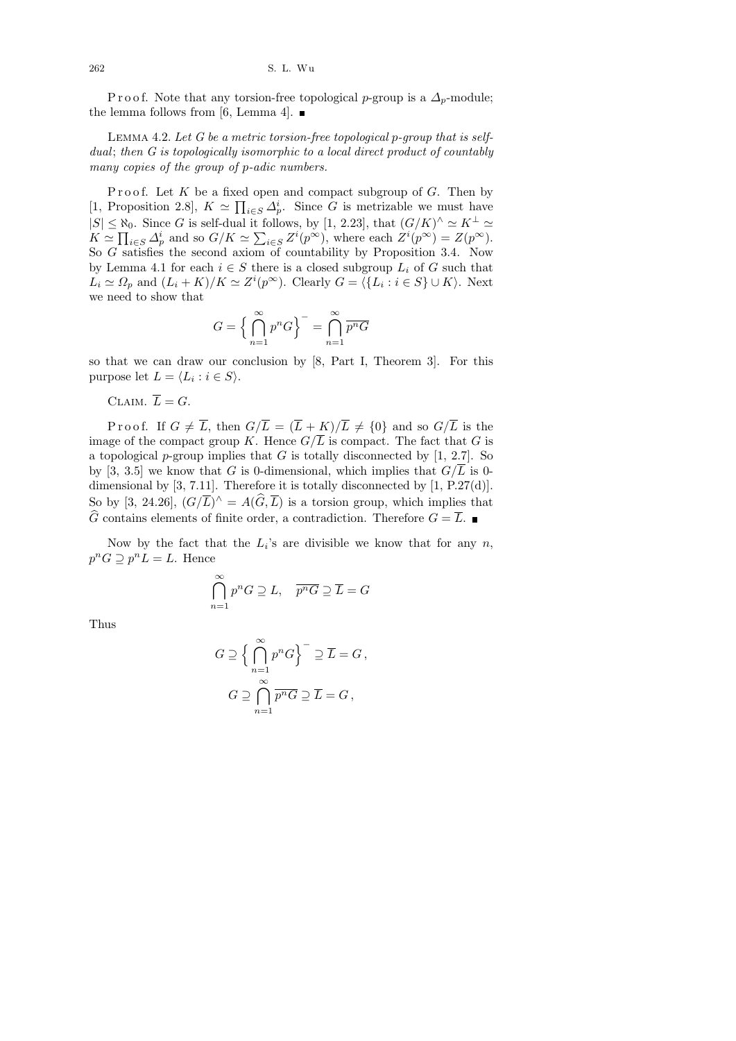262 S. L. Wu

P r o o f. Note that any torsion-free topological p-group is a  $\Delta_p$ -module; the lemma follows from [6, Lemma 4].  $\blacksquare$ 

LEMMA 4.2. Let  $G$  be a metric torsion-free topological p-group that is selfdual; then G is topologically isomorphic to a local direct product of countably many copies of the group of p-adic numbers.

Proof. Let  $K$  be a fixed open and compact subgroup of  $G$ . Then by [1, Proposition 2.8],  $K \simeq \prod_{i \in S} \Delta_p^i$ . Since G is metrizable we must have  $|S| \leq \aleph_0$ . Since G is self-dual it follows, by [1, 2.23], that  $(G/K)^{\wedge} \simeq K^{\perp} \simeq$  $K \simeq \prod_{i \in S} \Delta_p^i$  and so  $G/K \simeq \sum_{i \in S} Z^i(p^{\infty})$ , where each  $Z^i(p^{\infty}) = Z(p^{\infty})$ . So G satisfies the second axiom of countability by Proposition 3.4. Now by Lemma 4.1 for each  $i \in S$  there is a closed subgroup  $L_i$  of G such that  $L_i \simeq \Omega_p$  and  $(L_i + K)/K \simeq Z^i(p^\infty)$ . Clearly  $G = \langle \{L_i : i \in S\} \cup K \rangle$ . Next we need to show that

$$
G = \left\{ \bigcap_{n=1}^{\infty} p^n G \right\}^{-1} = \bigcap_{n=1}^{\infty} \overline{p^n G}
$$

so that we can draw our conclusion by [8, Part I, Theorem 3]. For this purpose let  $L = \langle L_i : i \in S \rangle$ .

CLAIM.  $\overline{L} = G$ .

Proof. If  $G \neq \overline{L}$ , then  $G/\overline{L} = (\overline{L} + K)/\overline{L} \neq \{0\}$  and so  $G/\overline{L}$  is the image of the compact group K. Hence  $G/\overline{L}$  is compact. The fact that G is a topological p-group implies that G is totally disconnected by  $[1, 2.7]$ . So by [3, 3.5] we know that G is 0-dimensional, which implies that  $G/\overline{L}$  is 0dimensional by [3, 7.11]. Therefore it is totally disconnected by [1, P.27(d)]. So by [3, 24.26],  $(G/\overline{L})^{\wedge} = A(\widehat{G}, \overline{L})$  is a torsion group, which implies that  $\widehat{G}$  contains elements of finite order, a contradiction. Therefore  $G = \overline{L}$ .

Now by the fact that the  $L_i$ 's are divisible we know that for any n,  $p^n G \supseteq p^n L = L$ . Hence

$$
\bigcap_{n=1}^{\infty} p^n G \supseteq L, \quad \overline{p^n G} \supseteq \overline{L} = G
$$

Thus

$$
G \supseteq \Big\{ \bigcap_{n=1}^{\infty} p^n G \Big\}^{-} \supseteq \overline{L} = G,
$$
  

$$
G \supseteq \bigcap_{n=1}^{\infty} \overline{p^n G} \supseteq \overline{L} = G,
$$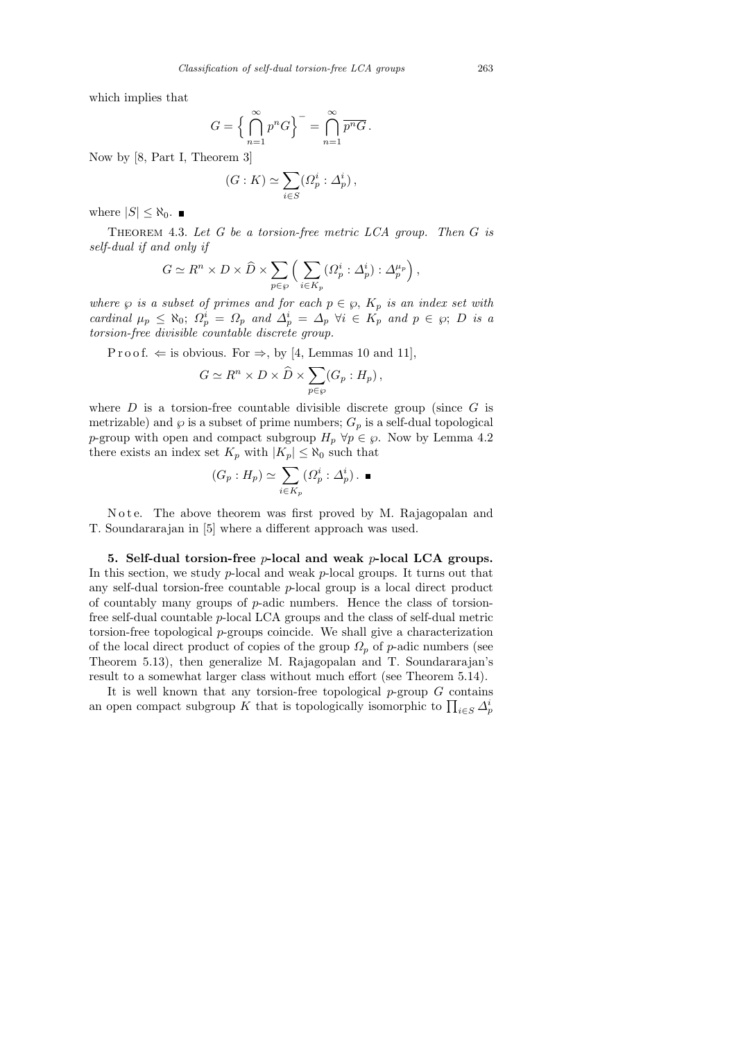which implies that

$$
G = \left\{ \bigcap_{n=1}^{\infty} p^n G \right\}^{-1} = \bigcap_{n=1}^{\infty} \overline{p^n G}.
$$

Now by [8, Part I, Theorem 3]

$$
(G:K)\simeq \sum_{i\in S} (\varOmega_p^i:\varDelta_p^i)\,,
$$

where  $|S| \leq \aleph_0$ .

THEOREM 4.3. Let  $G$  be a torsion-free metric LCA group. Then  $G$  is self-dual if and only if

$$
G \simeq R^n \times D \times \widehat{D} \times \sum_{p \in \wp} \left( \sum_{i \in K_p} (\Omega_p^i : \Delta_p^i) : \Delta_p^{\mu_p} \right),
$$

where  $\wp$  is a subset of primes and for each  $p \in \wp$ ,  $K_p$  is an index set with cardinal  $\mu_p \leq \aleph_0$ ;  $\Omega_p^i = \Omega_p$  and  $\Delta_p^i = \Delta_p \ \forall i \in K_p$  and  $p \in \wp$ ; D is a torsion-free divisible countable discrete group.

P r o o f.  $\Leftarrow$  is obvious. For  $\Rightarrow$ , by [4, Lemmas 10 and 11],

$$
G \simeq R^n \times D \times \widehat{D} \times \sum_{p \in \wp} (G_p : H_p) ,
$$

where  $D$  is a torsion-free countable divisible discrete group (since  $G$  is metrizable) and  $\wp$  is a subset of prime numbers;  $G_p$  is a self-dual topological p-group with open and compact subgroup  $H_p \,\forall p \in \wp$ . Now by Lemma 4.2 there exists an index set  $K_p$  with  $|K_p| \leq \aleph_0$  such that

$$
(G_p: H_p) \simeq \sum_{i \in K_p} (\Omega_p^i : \Delta_p^i) . \blacksquare
$$

Note. The above theorem was first proved by M. Rajagopalan and T. Soundararajan in [5] where a different approach was used.

5. Self-dual torsion-free  $p$ -local and weak  $p$ -local LCA groups. In this section, we study  $p$ -local and weak  $p$ -local groups. It turns out that any self-dual torsion-free countable p-local group is a local direct product of countably many groups of p-adic numbers. Hence the class of torsionfree self-dual countable p-local LCA groups and the class of self-dual metric torsion-free topological p-groups coincide. We shall give a characterization of the local direct product of copies of the group  $\Omega_p$  of p-adic numbers (see Theorem 5.13), then generalize M. Rajagopalan and T. Soundararajan's result to a somewhat larger class without much effort (see Theorem 5.14).

It is well known that any torsion-free topological  $p$ -group  $G$  contains an open compact subgroup K that is topologically isomorphic to  $\prod_{i \in S} \Delta_p^i$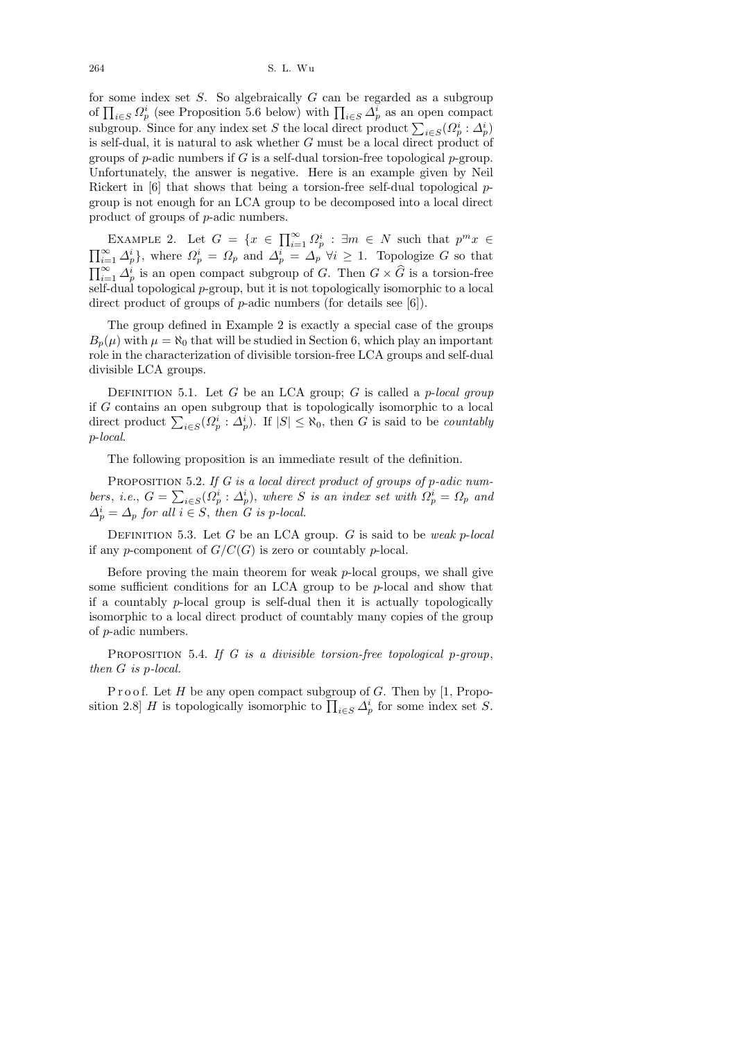for some index set  $S$ . So algebraically  $G$  can be regarded as a subgroup of  $\prod_{i\in S} \Omega_p^i$  (see Proposition 5.6 below) with  $\prod_{i\in S} \Delta_p^i$  as an open compact subgroup. Since for any index set S the local direct product  $\sum_{i \in S} (\Omega_p^i : \Delta_p^i)$ is self-dual, it is natural to ask whether G must be a local direct product of groups of  $p$ -adic numbers if G is a self-dual torsion-free topological  $p$ -group. Unfortunately, the answer is negative. Here is an example given by Neil Rickert in [6] that shows that being a torsion-free self-dual topological pgroup is not enough for an LCA group to be decomposed into a local direct product of groups of p-adic numbers.

EXAMPLE 2. Let  $G = \{x \in \prod_{i=1}^{\infty} \Omega_p^i : \exists m \in N \text{ such that } p^m x \in$  $\prod_{i=1}^{\infty} \Delta_p^i$ , where  $\Omega_p^i = \Omega_p$  and  $\Delta_p^i = \Delta_p \ \forall i \geq 1$ . Topologize G so that  $\prod_{i=1}^{\infty} \Delta_p^i$  is an open compact subgroup of G. Then  $G \times \widehat{G}$  is a torsion-free self-dual topological p-group, but it is not topologically isomorphic to a local direct product of groups of *p*-adic numbers (for details see [6]).

The group defined in Example 2 is exactly a special case of the groups  $B_p(\mu)$  with  $\mu = \aleph_0$  that will be studied in Section 6, which play an important role in the characterization of divisible torsion-free LCA groups and self-dual divisible LCA groups.

DEFINITION 5.1. Let G be an LCA group; G is called a  $p$ -local group if G contains an open subgroup that is topologically isomorphic to a local direct product  $\sum_{i \in S} (\Omega_p^i : \Delta_p^i)$ . If  $|S| \leq \aleph_0$ , then G is said to be *countably* p-local.

The following proposition is an immediate result of the definition.

PROPOSITION 5.2. If G is a local direct product of groups of p-adic numbers, i.e.,  $G = \sum_{i \in S} (\Omega_p^i : \Delta_p^i)$ , where S is an index set with  $\Omega_p^i = \Omega_p$  and  $\Delta_p^i = \Delta_p$  for all  $i \in S$ , then G is p-local.

DEFINITION 5.3. Let G be an LCA group. G is said to be weak p-local if any p-component of  $G/C(G)$  is zero or countably p-local.

Before proving the main theorem for weak  $p$ -local groups, we shall give some sufficient conditions for an LCA group to be p-local and show that if a countably  $p$ -local group is self-dual then it is actually topologically isomorphic to a local direct product of countably many copies of the group of p-adic numbers.

PROPOSITION 5.4. If G is a divisible torsion-free topological p-group, then G is p-local.

Proof. Let  $H$  be any open compact subgroup of  $G$ . Then by [1, Proposition 2.8] H is topologically isomorphic to  $\prod_{i \in S} \Delta_p^i$  for some index set S.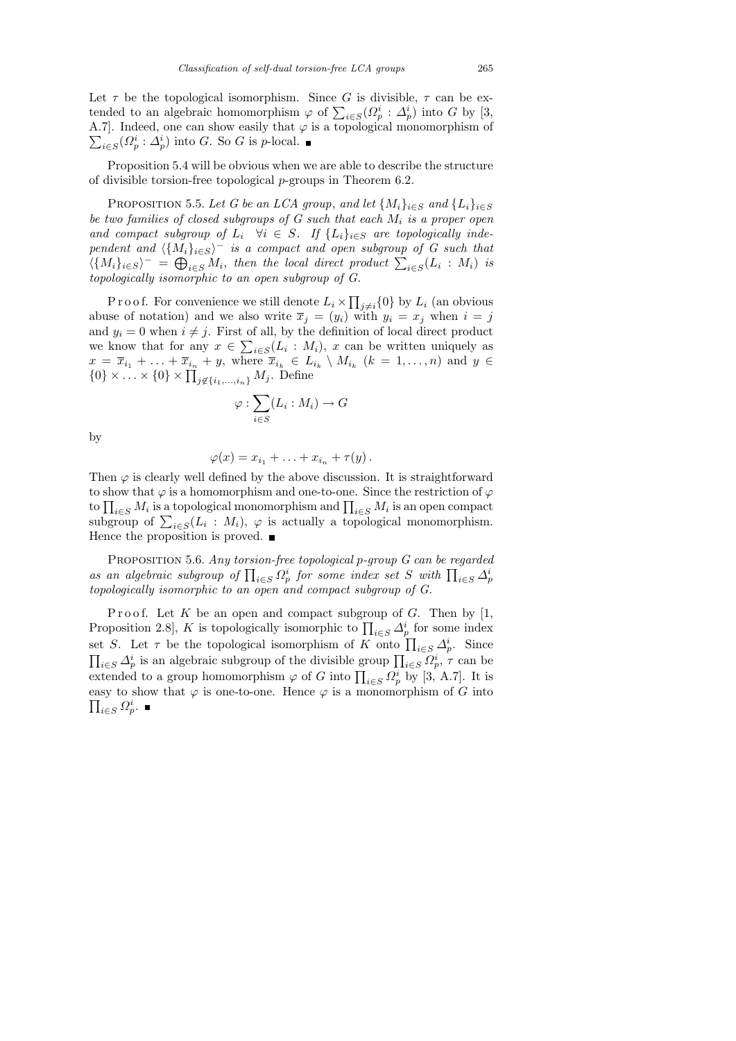Let  $\tau$  be the topological isomorphism. Since G is divisible,  $\tau$  can be extended to an algebraic homomorphism  $\varphi$  of  $\sum_{i \in S} (\Omega_p^i : \Delta_p^i)$  into G by [3,  $\sum_{i\in S}(Q_p^i:\Delta_p^i)$  into G. So G is p-local. A.7]. Indeed, one can show easily that  $\varphi$  is a topological monomorphism of

Proposition 5.4 will be obvious when we are able to describe the structure of divisible torsion-free topological  $p$ -groups in Theorem 6.2.

PROPOSITION 5.5. Let G be an LCA group, and let  $\{M_i\}_{i\in S}$  and  $\{L_i\}_{i\in S}$ be two families of closed subgroups of  $G$  such that each  $M_i$  is a proper open and compact subgroup of  $L_i \quad \forall i \in S$ . If  $\{L_i\}_{i \in S}$  are topologically independent and  $\langle \{M_i\}_{i\in S}\rangle$ <sup>-</sup> is a compact and open subgroup of G such that  $\langle \{M_i\}_{i\in S}\rangle^-=\bigoplus_{i\in S} M_i$ , then the local direct product  $\sum_{i\in S} (L_i : M_i)$  is topologically isomorphic to an open subgroup of G.

P r o o f. For convenience we still denote  $L_i \times \prod_{j \neq i} \{0\}$  by  $L_i$  (an obvious abuse of notation) and we also write  $\overline{x}_j = (y_i)$  with  $y_i = x_j$  when  $i = j$ and  $y_i = 0$  when  $i \neq j$ . First of all, by the definition of local direct product we know that for any  $x \in \sum_{i \in S} (L_i : M_i)$ , x can be written uniquely as  $x = \overline{x}_{i_1} + \ldots + \overline{x}_{i_n} + y$ , where  $\overline{x}_{i_k} \in L_{i_k} \setminus M_{i_k}$   $(k = 1, \ldots, n)$  and  $y \in$  $\{0\} \times \ldots \times \{0\} \times \prod_{j \notin \{i_1,\ldots,i_n\}} M_j$ . Define

$$
\varphi : \sum_{i \in S} (L_i : M_i) \to G
$$

by

$$
\varphi(x)=x_{i_1}+\ldots+x_{i_n}+\tau(y).
$$

Then  $\varphi$  is clearly well defined by the above discussion. It is straightforward to show that  $\varphi$  is a homomorphism and one-to-one. Since the restriction of  $\varphi$ to  $\prod_{i\in S}M_i$  is a topological monomorphism and  $\prod_{i\in S}M_i$  is an open compact subgroup of  $\sum_{i \in S} (L_i : M_i)$ ,  $\varphi$  is actually a topological monomorphism. Hence the proposition is proved.  $\blacksquare$ 

PROPOSITION 5.6. Any torsion-free topological p-group G can be regarded as an algebraic subgroup of  $\prod_{i\in S}\Omega_p^i$  for some index set S with  $\prod_{i\in S}\Delta_p^i$ topologically isomorphic to an open and compact subgroup of G.

Proof. Let K be an open and compact subgroup of G. Then by  $[1,$ Proposition 2.8, K is topologically isomorphic to  $\prod_{i \in S} \Delta_p^i$  for some index set S. Let  $\tau$  be the topological isomorphism of K onto  $\prod_{i\in S} \Delta_p^i$ . Since  $\prod_{i\in S} \Delta_p^i$  is an algebraic subgroup of the divisible group  $\prod_{i\in S} \Omega_p^i$ ,  $\tau$  can be extended to a group homomorphism  $\varphi$  of G into  $\prod_{i\in S} \Omega_p^i$  by [3, A.7]. It is  $\prod_{i\in S}\Omega_p^i.$ easy to show that  $\varphi$  is one-to-one. Hence  $\varphi$  is a monomorphism of G into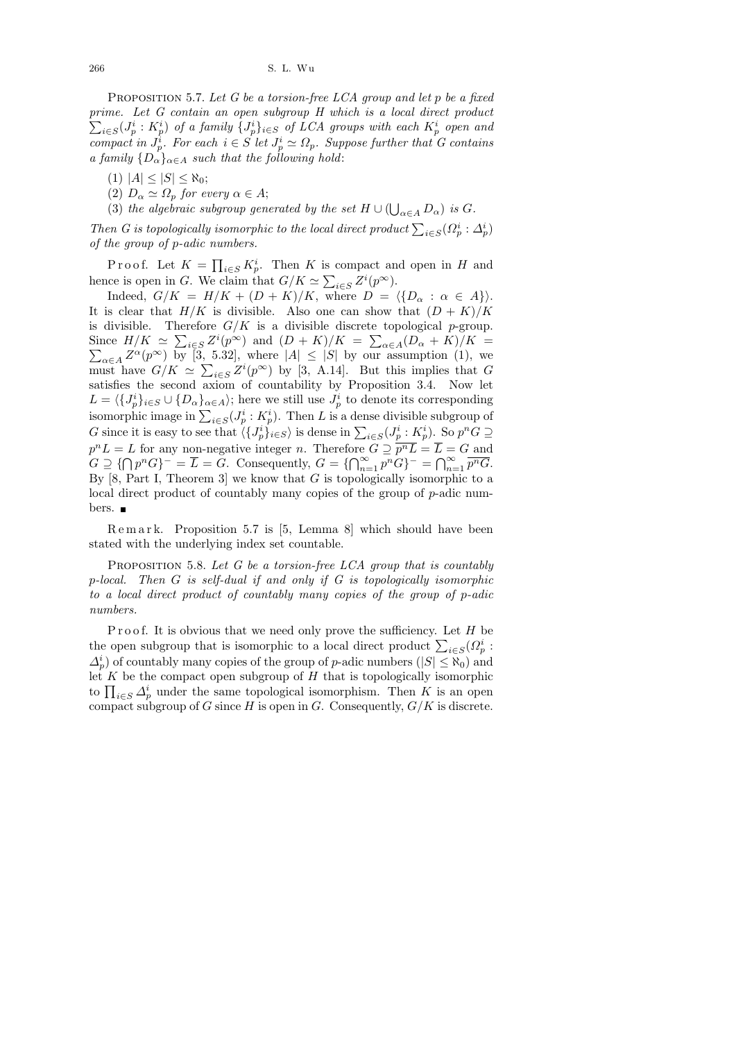PROPOSITION 5.7. Let G be a torsion-free LCA group and let  $p$  be a fixed prime. Let G contain an open subgroup H which is a local direct product  $\sum_{i\in S}(J_p^i:K_p^i)$  of a family  $\{J_p^i\}_{i\in S}$  of LCA groups with each  $K_p^i$  open and compact in  $J_p^i$ . For each  $i \in S$  let  $J_p^i \simeq \Omega_p$ . Suppose further that G contains a family  $\{D_{\alpha}\}_{{\alpha \in A}}$  such that the following hold:

(1)  $|A| \leq |S| \leq \aleph_0;$ 

(2)  $D_{\alpha} \simeq \Omega_p$  for every  $\alpha \in A;$ 

(3) the algebraic subgroup generated by the set  $H \cup (\bigcup_{\alpha \in A} D_{\alpha})$  is G.

Then G is topologically isomorphic to the local direct product  $\sum_{i \in S} (\Omega_p^i : \Delta_p^i)$ of the group of p-adic numbers.

Proof. Let  $K = \prod_{i \in S} K_p^i$ . Then K is compact and open in H and hence is open in G. We claim that  $G/K \simeq \sum_{i \in S} Z^i(p^\infty)$ .

Indeed,  $G/K = H/K + (D + K)/K$ , where  $D = \langle \{D_{\alpha} : \alpha \in A\}\rangle$ . It is clear that  $H/K$  is divisible. Also one can show that  $(D + K)/K$ is divisible. Therefore  $G/K$  is a divisible discrete topological p-group. Since  $H/K \simeq \sum_{i \in S} Z^i(p^\infty)$  and  $(D+K)/K = \sum_{\alpha \in A} (D_\alpha + K)/K = \sum_{\alpha \in A} Z^\alpha(p^\infty)$  by [3, 5.32], where  $|A| \leq |S|$  by our assumption (1), we must have  $G/K \simeq \sum_{i\in S} Z^i(p^\infty)$  by [3, A.14]. But this implies that G satisfies the second axiom of countability by Proposition 3.4. Now let  $L = \langle \{J_p^i\}_{i \in S} \cup \{D_\alpha\}_{\alpha \in A} \rangle$ ; here we still use  $J_p^i$  to denote its corresponding isomorphic image in  $\sum_{i \in S} (J_p^i : K_p^i)$ . Then L is a dense divisible subgroup of G since it is easy to see that  $\langle \{J_p^i\}_{i\in S}\rangle$  is dense in  $\sum_{i\in S}(J_p^i:K_p^i)$ . So  $p^nG \supseteq$  $p^n L = L$  for any non-negative integer n. Therefore  $G \supseteq \overline{p^n L} = \overline{L} = G$  and  $G \supseteq {\bigcap p^n G}^{\perp} = \overline{L} = \overline{G}$ . Consequently,  $G = {\bigcap_{n=1}^{\infty} p^n G}^{\perp} = {\bigcap_{n=1}^{\infty} \overline{p^n G}}$ . By  $[8, Part I, Theorem 3]$  we know that G is topologically isomorphic to a local direct product of countably many copies of the group of p-adic numbers. ■

R e m a r k. Proposition 5.7 is [5, Lemma 8] which should have been stated with the underlying index set countable.

PROPOSITION 5.8. Let  $G$  be a torsion-free LCA group that is countably p-local. Then G is self-dual if and only if G is topologically isomorphic to a local direct product of countably many copies of the group of p-adic numbers.

Proof. It is obvious that we need only prove the sufficiency. Let  $H$  be the open subgroup that is isomorphic to a local direct product  $\sum_{i \in S} (Q_p^i)$ :  $\Delta_p^i$  of countably many copies of the group of p-adic numbers  $(|S| \leq \aleph_0)$  and let  $K$  be the compact open subgroup of  $H$  that is topologically isomorphic to  $\prod_{i\in S} \Delta_p^i$  under the same topological isomorphism. Then K is an open compact subgroup of G since H is open in G. Consequently,  $G/K$  is discrete.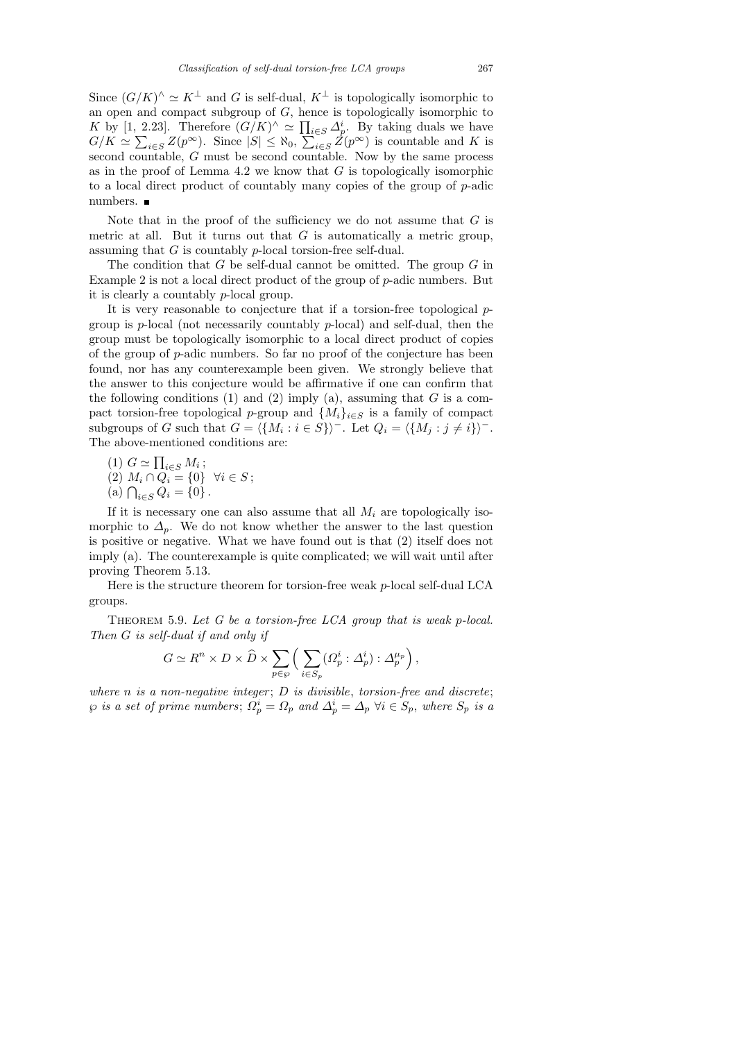Since  $(G/K)^{\wedge} \simeq K^{\perp}$  and G is self-dual,  $K^{\perp}$  is topologically isomorphic to an open and compact subgroup of  $G$ , hence is topologically isomorphic to K by [1, 2.23]. Therefore  $(G/K)^{\wedge} \simeq \prod_{i \in S} \Delta_p^i$ . By taking duals we have  $G/K \simeq \sum_{i\in S} Z(p^{\infty})$ . Since  $|S| \leq \aleph_0$ ,  $\sum_{i\in S} Z(p^{\infty})$  is countable and K is second countable, G must be second countable. Now by the same process as in the proof of Lemma  $4.2$  we know that  $G$  is topologically isomorphic to a local direct product of countably many copies of the group of  $p$ -adic numbers.

Note that in the proof of the sufficiency we do not assume that  $G$  is metric at all. But it turns out that  $G$  is automatically a metric group, assuming that G is countably p-local torsion-free self-dual.

The condition that  $G$  be self-dual cannot be omitted. The group  $G$  in Example 2 is not a local direct product of the group of p-adic numbers. But it is clearly a countably p-local group.

It is very reasonable to conjecture that if a torsion-free topological pgroup is p-local (not necessarily countably p-local) and self-dual, then the group must be topologically isomorphic to a local direct product of copies of the group of p-adic numbers. So far no proof of the conjecture has been found, nor has any counterexample been given. We strongly believe that the answer to this conjecture would be affirmative if one can confirm that the following conditions (1) and (2) imply (a), assuming that  $G$  is a compact torsion-free topological p-group and  $\{M_i\}_{i\in S}$  is a family of compact subgroups of G such that  $G = \langle \{M_i : i \in S\} \rangle$ <sup>-</sup>. Let  $Q_i = \langle \{M_j : j \neq i\} \rangle$ <sup>-</sup>. The above-mentioned conditions are:

(1)  $G \simeq \prod_{i \in S} M_i$ ; (2)  $M_i \cap Q_i = \{0\} \ \forall i \in S;$ (a)  $\bigcap_{i \in S} Q_i = \{0\}$ .

If it is necessary one can also assume that all  $M_i$  are topologically isomorphic to  $\Delta_p$ . We do not know whether the answer to the last question is positive or negative. What we have found out is that (2) itself does not imply (a). The counterexample is quite complicated; we will wait until after proving Theorem 5.13.

Here is the structure theorem for torsion-free weak  $p$ -local self-dual LCA groups.

THEOREM 5.9. Let  $G$  be a torsion-free LCA group that is weak p-local. Then G is self-dual if and only if

$$
G \simeq R^n \times D \times \widehat{D} \times \sum_{p \in \wp} \left( \sum_{i \in S_p} (\Omega_p^i : \Delta_p^i) : \Delta_p^{\mu_p} \right),
$$

where  $n$  is a non-negative integer;  $D$  is divisible, torsion-free and discrete;  $\wp$  is a set of prime numbers;  $\Omega_p^i = \Omega_p$  and  $\Delta_p^i = \Delta_p \; \forall i \in S_p$ , where  $S_p$  is a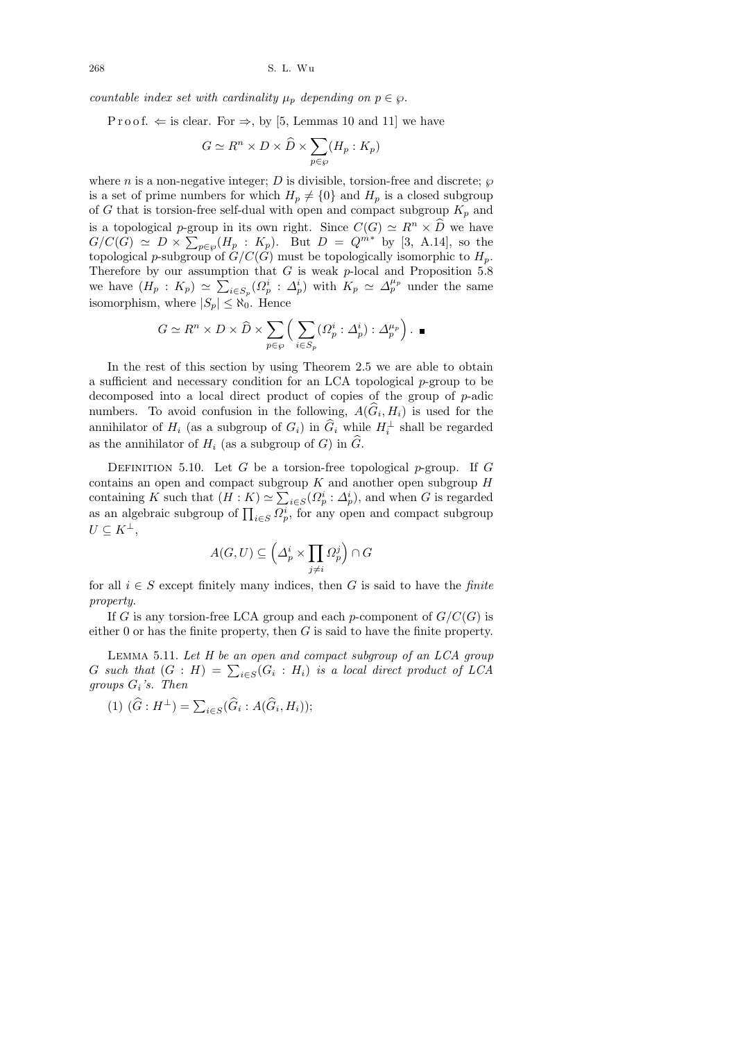countable index set with cardinality  $\mu_p$  depending on  $p \in \varphi$ .

P r o o f.  $\Leftarrow$  is clear. For  $\Rightarrow$ , by [5, Lemmas 10 and 11] we have

$$
G \simeq R^n \times D \times \widehat{D} \times \sum_{p \in \wp} (H_p : K_p)
$$

where n is a non-negative integer; D is divisible, torsion-free and discrete;  $\wp$ is a set of prime numbers for which  $H_p \neq \{0\}$  and  $H_p$  is a closed subgroup of G that is torsion-free self-dual with open and compact subgroup  $K_p$  and is a topological p-group in its own right. Since  $C(G) \simeq R^n \times \widehat{D}$  we have  $G/C(G) \simeq D \times \sum_{p \in \wp} (H_p : K_p)$ . But  $D = Q^{m*}$  by [3, A.14], so the topological *p*-subgroup of  $G/C(G)$  must be topologically isomorphic to  $H_p$ . Therefore by our assumption that  $G$  is weak  $p$ -local and Proposition 5.8 we have  $(H_p: K_p) \simeq \sum_{i \in S_p} (Q_p^i: \Delta_p^i)$  with  $K_p \simeq \Delta_p^{\mu_p}$  under the same isomorphism, where  $|S_p| \leq \aleph_0$ . Hence

$$
G \simeq R^n \times D \times \widehat{D} \times \sum_{p \in \wp} \left( \sum_{i \in S_p} (\Omega_p^i : \Delta_p^i) : \Delta_p^{\mu_p} \right). \blacksquare
$$

In the rest of this section by using Theorem 2.5 we are able to obtain a sufficient and necessary condition for an LCA topological p-group to be decomposed into a local direct product of copies of the group of p-adic numbers. To avoid confusion in the following,  $A(G_i, H_i)$  is used for the annihilator of  $H_i$  (as a subgroup of  $G_i$ ) in  $\widehat{G}_i$  while  $H_i^{\perp}$  shall be regarded as the annihilator of  $H_i$  (as a subgroup of G) in  $\widehat{G}$ .

DEFINITION 5.10. Let G be a torsion-free topological p-group. If G contains an open and compact subgroup  $K$  and another open subgroup  $H$ containing K such that  $(H: K) \simeq \sum_{i \in S} (\Omega_p^i : \Delta_p^i)$ , and when G is regarded as an algebraic subgroup of  $\prod_{i \in S} \Omega_p^i$ , for any open and compact subgroup  $U \subseteq K^{\perp},$ 

$$
A(G, U) \subseteq \left(\Delta_p^i \times \prod_{j \neq i} \Omega_p^j\right) \cap G
$$

for all  $i \in S$  except finitely many indices, then G is said to have the *finite* property.

If G is any torsion-free LCA group and each p-component of  $G/C(G)$  is either 0 or has the finite property, then  $G$  is said to have the finite property.

LEMMA 5.11. Let  $H$  be an open and compact subgroup of an LCA group G such that  $(G : H) = \sum_{i \in S} (G_i : H_i)$  is a local direct product of LCA groups  $G_i$ 's. Then

(1) 
$$
(\widehat{G}:H^{\perp}) = \sum_{i \in S} (\widehat{G}_i : A(\widehat{G}_i, H_i));
$$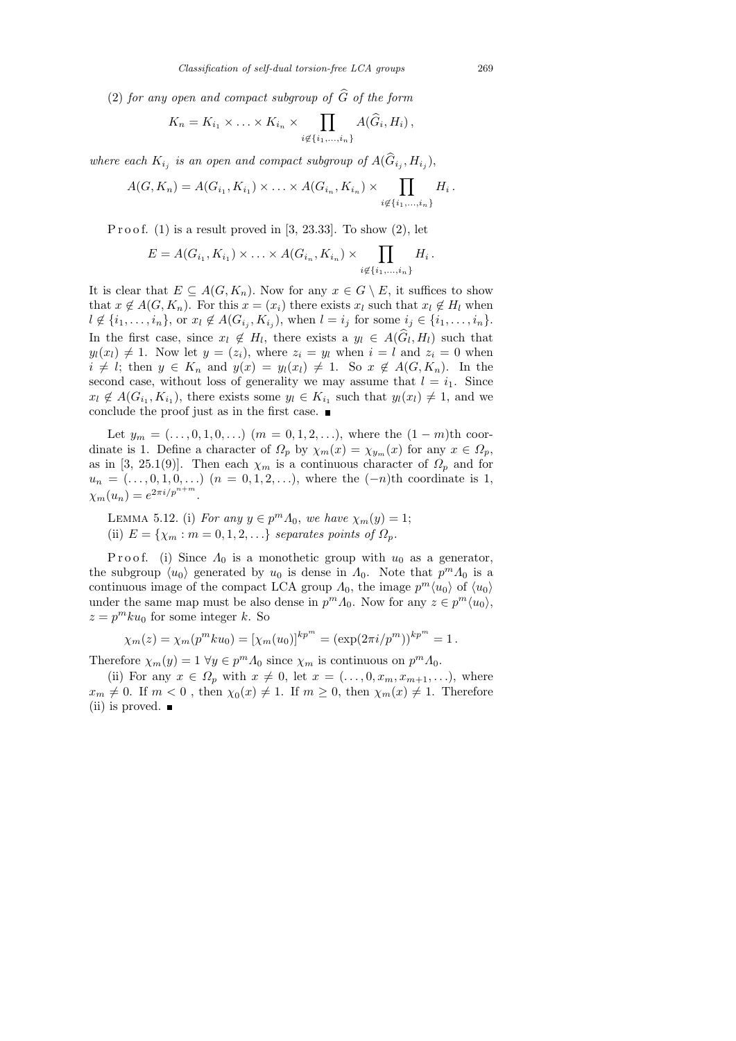(2) for any open and compact subgroup of  $\widehat{G}$  of the form

$$
K_n = K_{i_1} \times \ldots \times K_{i_n} \times \prod_{i \notin \{i_1, \ldots, i_n\}} A(\widehat{G}_i, H_i),
$$

where each  $K_{i_j}$  is an open and compact subgroup of  $A(G_{i_j}, H_{i_j})$ ,

$$
A(G, K_n) = A(G_{i_1}, K_{i_1}) \times \ldots \times A(G_{i_n}, K_{i_n}) \times \prod_{i \notin \{i_1, \ldots, i_n\}} H_i.
$$

P r o o f.  $(1)$  is a result proved in [3, 23.33]. To show  $(2)$ , let

$$
E = A(G_{i_1}, K_{i_1}) \times \ldots \times A(G_{i_n}, K_{i_n}) \times \prod_{i \notin \{i_1, ..., i_n\}} H_i.
$$

It is clear that  $E \subseteq A(G, K_n)$ . Now for any  $x \in G \setminus E$ , it suffices to show that  $x \notin A(G, K_n)$ . For this  $x = (x_i)$  there exists  $x_i$  such that  $x_i \notin H_i$  when  $l \notin \{i_1, \ldots, i_n\}$ , or  $x_l \notin A(G_{i_j}, K_{i_j})$ , when  $l = i_j$  for some  $i_j \in \{i_1, \ldots, i_n\}$ . In the first case, since  $x_l \notin H_l$ , there exists a  $y_l \in A(G_l, H_l)$  such that  $y_l(x_l) \neq 1$ . Now let  $y = (z_i)$ , where  $z_i = y_l$  when  $i = l$  and  $z_i = 0$  when  $i \neq l$ ; then  $y \in K_n$  and  $y(x) = y_l(x_l) \neq 1$ . So  $x \notin A(G, K_n)$ . In the second case, without loss of generality we may assume that  $l = i_1$ . Since  $x_l \notin A(G_{i_1}, K_{i_1}),$  there exists some  $y_l \in K_{i_1}$  such that  $y_l(x_l) \neq 1$ , and we conclude the proof just as in the first case.

Let  $y_m = (\ldots, 0, 1, 0, \ldots)$   $(m = 0, 1, 2, \ldots)$ , where the  $(1 - m)$ <sup>th</sup> coordinate is 1. Define a character of  $\Omega_p$  by  $\chi_m(x) = \chi_{y_m}(x)$  for any  $x \in \Omega_p$ , as in [3, 25.1(9)]. Then each  $\chi_m$  is a continuous character of  $\Omega_p$  and for  $u_n = (...,0,1,0,...)$   $(n = 0,1,2,...),$  where the  $(-n)$ <sup>th</sup> coordinate is 1,  $\chi_m(u_n) = e^{2\pi i/p^{n+m}}$ .

LEMMA 5.12. (i) For any  $y \in p^m \Lambda_0$ , we have  $\chi_m(y) = 1$ ; (ii)  $E = \{\chi_m : m = 0, 1, 2, \ldots\}$  separates points of  $\Omega_p$ .

P r o o f. (i) Since  $\Lambda_0$  is a monothetic group with  $u_0$  as a generator, the subgroup  $\langle u_0 \rangle$  generated by  $u_0$  is dense in  $\Lambda_0$ . Note that  $p^m \Lambda_0$  is a continuous image of the compact LCA group  $\Lambda_0$ , the image  $p^m \langle u_0 \rangle$  of  $\langle u_0 \rangle$ under the same map must be also dense in  $p^m \Lambda_0$ . Now for any  $z \in p^m \langle u_0 \rangle$ ,  $z = p^m k u_0$  for some integer k. So

$$
\chi_m(z) = \chi_m(p^m k u_0) = [\chi_m(u_0)]^{kp^m} = (\exp(2\pi i/p^m))^{kp^m} = 1.
$$

Therefore  $\chi_m(y) = 1 \ \forall y \in p^m \Lambda_0$  since  $\chi_m$  is continuous on  $p^m \Lambda_0$ .

(ii) For any  $x \in \Omega_p$  with  $x \neq 0$ , let  $x = (\ldots, 0, x_m, x_{m+1}, \ldots)$ , where  $x_m \neq 0$ . If  $m < 0$ , then  $\chi_0(x) \neq 1$ . If  $m \geq 0$ , then  $\chi_m(x) \neq 1$ . Therefore (ii) is proved. ■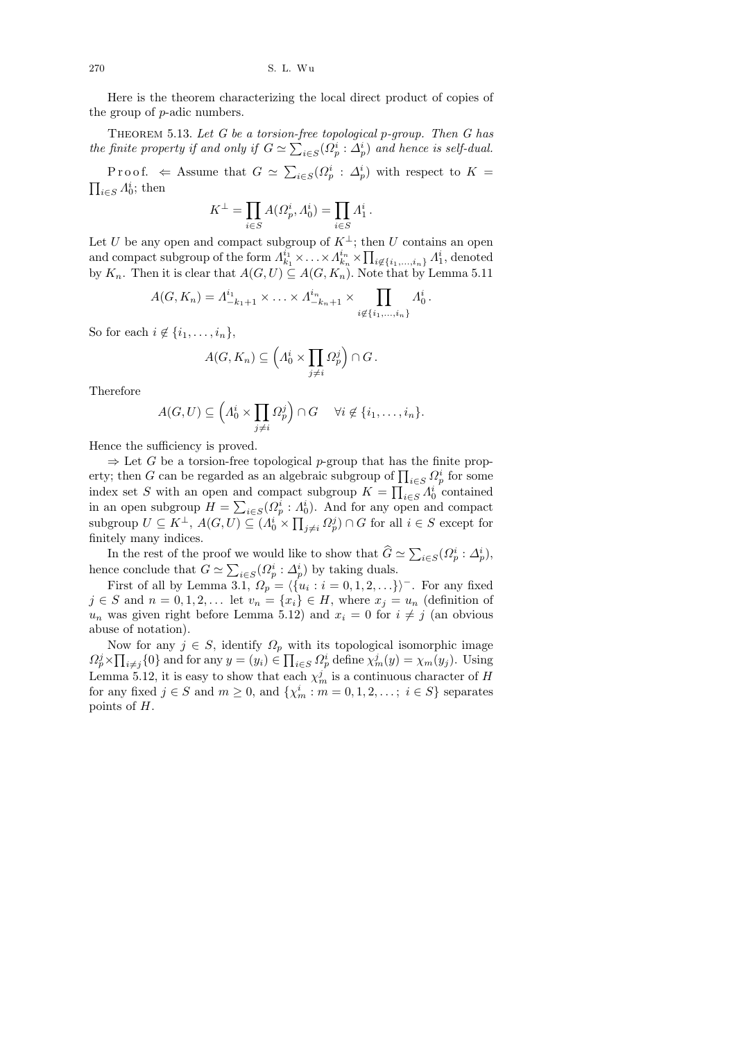Here is the theorem characterizing the local direct product of copies of the group of p-adic numbers.

THEOREM 5.13. Let  $G$  be a torsion-free topological p-group. Then  $G$  has the finite property if and only if  $G \simeq \sum_{i \in S} (\Omega_p^i : \Delta_p^i)$  and hence is self-dual.

Proof.  $\Leftarrow$  Assume that  $G \simeq \sum_{i \in S} (\Omega_p^i : \Delta_p^i)$  with respect to  $K =$  $\prod_{i\in S}\Lambda_0^i$ ; then

$$
K^\perp = \prod_{i \in S} A(\varOmega_p^i,\varLambda_0^i) = \prod_{i \in S} \varLambda_1^i
$$

.

Let U be any open and compact subgroup of  $K^{\perp}$ ; then U contains an open and compact subgroup of the form  $\Lambda_{ki}^{i_1}$  $\lambda_{k_1}^{i_1} \times \ldots \times \Lambda_{k_n}^{i_n}$  $\prod_{i=1}^{i_n} \times \prod_{i \notin \{i_1,\ldots,i_n\}} \Lambda_1^i$ , denoted by  $K_n$ . Then it is clear that  $A(G, U) \subseteq A(G, K_n)$ . Note that by Lemma 5.11

$$
A(G, K_n) = \Lambda_{-k_1+1}^{i_1} \times \ldots \times \Lambda_{-k_n+1}^{i_n} \times \prod_{i \notin \{i_1, \ldots, i_n\}} \Lambda_0^i.
$$

So for each  $i \notin \{i_1, \ldots, i_n\},\$ 

$$
A(G, K_n) \subseteq \left(\Lambda_0^i \times \prod_{j \neq i} \Omega_p^j\right) \cap G.
$$

Therefore

$$
A(G,U) \subseteq \left(\Lambda_0^i \times \prod_{j \neq i} \Omega_p^j\right) \cap G \quad \forall i \notin \{i_1,\ldots,i_n\}.
$$

Hence the sufficiency is proved.

 $\Rightarrow$  Let G be a torsion-free topological p-group that has the finite property; then G can be regarded as an algebraic subgroup of  $\prod_{i \in S} \Omega_p^i$  for some index set S with an open and compact subgroup  $K = \prod_{i \in S} \Lambda_0^i$  contained in an open subgroup  $H = \sum_{i \in S} (Q_p^i : A_0^i)$ . And for any open and compact subgroup  $U \subseteq K^{\perp}$ ,  $A(G, U) \subseteq (A_0^i \times \prod_{j \neq i} \Omega_p^j) \cap G$  for all  $i \in S$  except for finitely many indices.

In the rest of the proof we would like to show that  $\widehat{G} \simeq \sum_{i \in S} (\Omega_p^i : \Delta_p^i)$ , hence conclude that  $G \simeq \sum_{i \in S} (\Omega_p^i : \Delta_p^i)$  by taking duals.

First of all by Lemma 3.1,  $\Omega_p = \langle \{u_i : i = 0, 1, 2, ...\} \rangle$ <sup>-</sup>. For any fixed  $j \in S$  and  $n = 0, 1, 2, \dots$  let  $v_n = \{x_i\} \in H$ , where  $x_j = u_n$  (definition of  $u_n$  was given right before Lemma 5.12) and  $x_i = 0$  for  $i \neq j$  (an obvious abuse of notation).

Now for any  $j \in S$ , identify  $\Omega_p$  with its topological isomorphic image  $\Omega_p^j \times \prod_{i \neq j} \{0\}$  and for any  $y = (y_i) \in \prod_{i \in S} \Omega_p^i$  define  $\chi_m^j(y) = \chi_m(y_j)$ . Using Lemma 5.12, it is easy to show that each  $\chi_m^j$  is a continuous character of H for any fixed  $j \in S$  and  $m \ge 0$ , and  $\{\chi_m^i : m = 0, 1, 2, \ldots; i \in S\}$  separates points of H.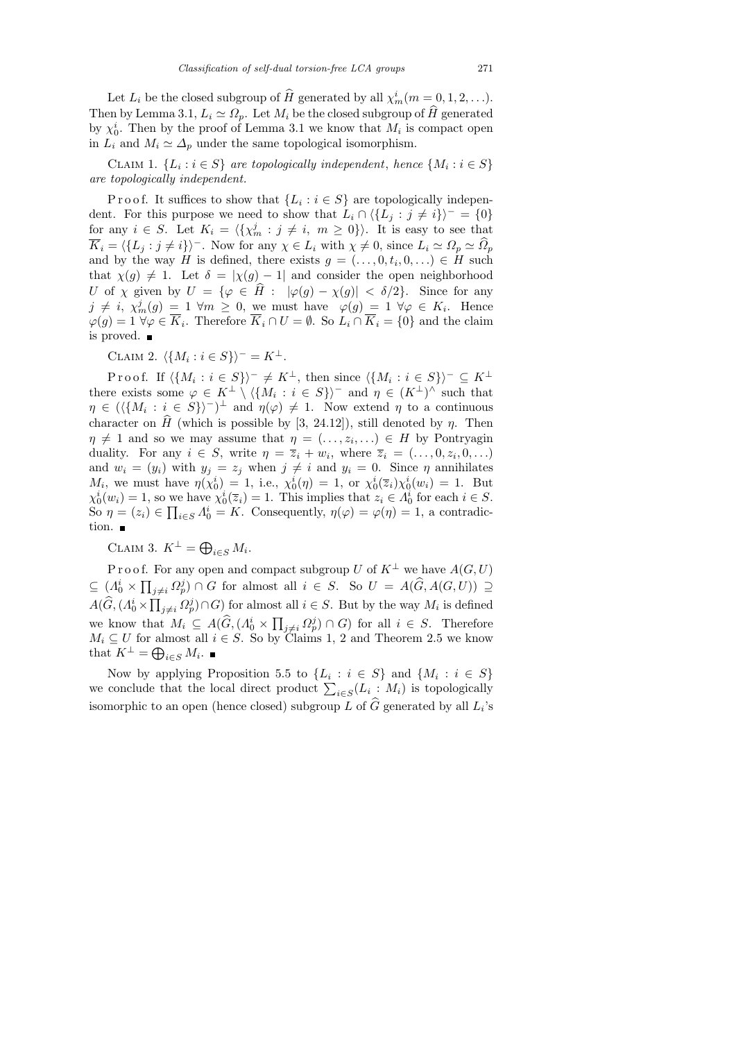Let  $L_i$  be the closed subgroup of  $\hat{H}$  generated by all  $\chi_m^i(m = 0, 1, 2, \ldots)$ . Then by Lemma 3.1,  $L_i \simeq \Omega_p$ . Let  $M_i$  be the closed subgroup of  $\hat{H}$  generated by  $\chi_0^i$ . Then by the proof of Lemma 3.1 we know that  $M_i$  is compact open in  $L_i$  and  $M_i \simeq \Delta_p$  under the same topological isomorphism.

CLAIM 1.  $\{L_i : i \in S\}$  are topologically independent, hence  $\{M_i : i \in S\}$ are topologically independent.

P r o o f. It suffices to show that  $\{L_i : i \in S\}$  are topologically independent. For this purpose we need to show that  $L_i \cap \langle \{L_j : j \neq i\}\rangle^- = \{0\}$ for any  $i \in S$ . Let  $K_i = \langle \{ \chi_m^j : j \neq i, m \geq 0 \} \rangle$ . It is easy to see that  $\overline{K}_i = \langle \{L_j : j \neq i\} \rangle$ <sup>-</sup>. Now for any  $\chi \in L_i$  with  $\chi \neq 0$ , since  $L_i \simeq \Omega_p \simeq \hat{\Omega}_p$ and by the way H is defined, there exists  $g = (\ldots, 0, t_i, 0, \ldots) \in H$  such that  $\chi(g) \neq 1$ . Let  $\delta = |\chi(g) - 1|$  and consider the open neighborhood U of  $\chi$  given by  $U = {\varphi \in \hat{H} : |\varphi(g) - \chi(g)| < \delta/2}.$  Since for any  $j \neq i$ ,  $\chi_m^j(g) = 1 \forall m \geq 0$ , we must have  $\varphi(g) = 1 \forall \varphi \in K_i$ . Hence  $\varphi(g) = 1 \,\forall \varphi \in \overline{K}_i$ . Therefore  $\overline{K}_i \cap U = \emptyset$ . So  $L_i \cap \overline{K}_i = \{0\}$  and the claim is proved.

CLAIM 2.  $\langle \{M_i : i \in S\} \rangle^- = K^{\perp}.$ 

Proof. If  $\langle \{M_i : i \in S\} \rangle^- \neq K^{\perp}$ , then since  $\langle \{M_i : i \in S\} \rangle^- \subseteq K^{\perp}$ there exists some  $\varphi \in K^{\perp} \setminus \langle \{M_i : i \in S\} \rangle$ <sup>-</sup> and  $\eta \in (K^{\perp})^{\wedge}$  such that  $\eta \in (\langle \{M_i : i \in S\} \rangle^{-1})^{\perp}$  and  $\eta(\varphi) \neq 1$ . Now extend  $\eta$  to a continuous character on H (which is possible by [3, 24.12]), still denoted by  $\eta$ . Then  $\eta \neq 1$  and so we may assume that  $\eta = (\ldots, z_i, \ldots) \in H$  by Pontryagin duality. For any  $i \in S$ , write  $\eta = \overline{z}_i + w_i$ , where  $\overline{z}_i = (\ldots, 0, z_i, 0, \ldots)$ and  $w_i = (y_i)$  with  $y_j = z_j$  when  $j \neq i$  and  $y_i = 0$ . Since  $\eta$  annihilates  $M_i$ , we must have  $\eta(\chi_0^i) = 1$ , i.e.,  $\chi_0^i(\eta) = 1$ , or  $\chi_0^i(\overline{z}_i) \chi_0^i(w_i) = 1$ . But  $\chi_0^i(w_i) = 1$ , so we have  $\chi_0^i(\overline{z}_i) = 1$ . This implies that  $z_i \in \overline{A_0^i}$  for each  $i \in S$ . So  $\eta = (z_i) \in \prod_{i \in S} A_0^i = K$ . Consequently,  $\eta(\varphi) = \varphi(\eta) = 1$ , a contradiction.  $\blacksquare$ 

CLAIM 3.  $K^{\perp} = \bigoplus_{i \in S} M_i$ .

P r o o f. For any open and compact subgroup U of  $K^{\perp}$  we have  $A(G, U)$  $\subseteq (A_0^i \times \prod_{j \neq i} \Omega_p^j) \cap G$  for almost all  $i \in S$ . So  $U = A(\widehat{G}, A(G, U)) \supseteq$  $A(\widehat{G}, (A_0^i \times \prod_{j \neq i} \Omega_p^j) \cap G)$  for almost all  $i \in S$ . But by the way  $M_i$  is defined we know that  $M_i \subseteq A(\widehat{G}, (A_0^i \times \prod_{j \neq i} \Omega_p^j) \cap G)$  for all  $i \in S$ . Therefore  $M_i \subseteq U$  for almost all  $i \in S$ . So by Claims 1, 2 and Theorem 2.5 we know that  $K^{\perp} = \bigoplus_{i \in S} M_i$ .

Now by applying Proposition 5.5 to  $\{L_i : i \in S\}$  and  $\{M_i : i \in S\}$ we conclude that the local direct product  $\sum_{i \in S} (L_i : M_i)$  is topologically isomorphic to an open (hence closed) subgroup  $L$  of  $G$  generated by all  $L_i$ 's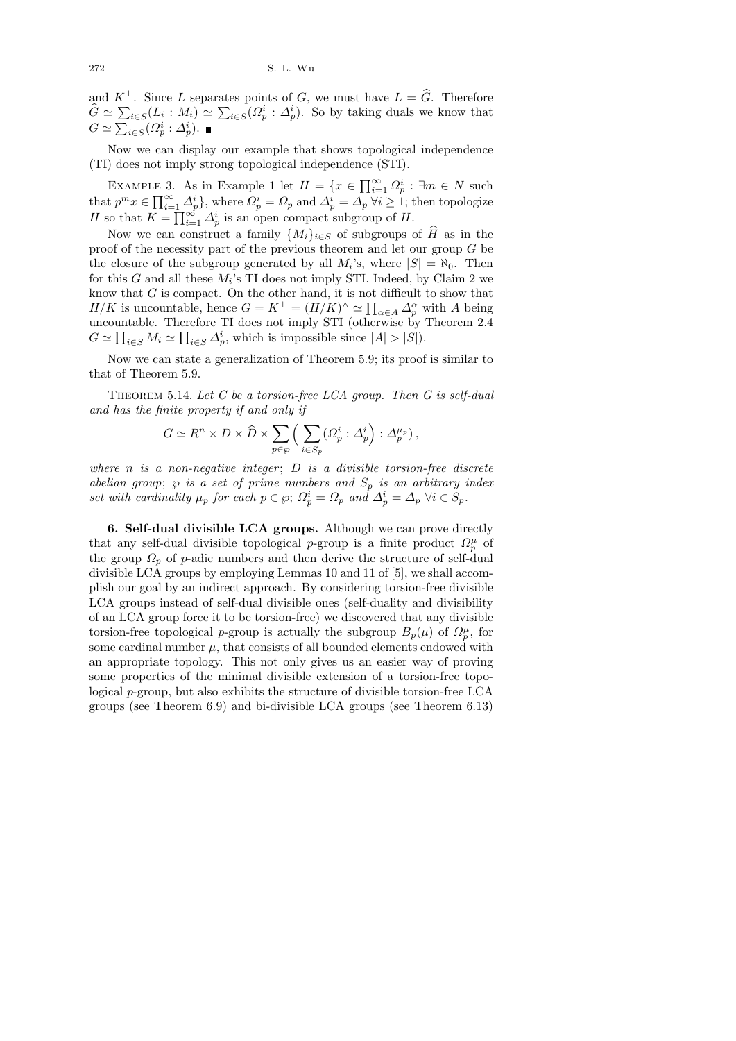272 S. L. Wu

and  $K^{\perp}$ . Since L separates points of G, we must have  $L = \widehat{G}$ . Therefore  $\hat{G} \simeq \sum_{i \in S} (L_i : M_i) \simeq \sum_{i \in S} (\Omega_p^i : \Delta_p^i)$ . So by taking duals we know that  $G \simeq \sum_{i \in S} (\Omega_p^i : \Delta_p^i).$ 

Now we can display our example that shows topological independence (TI) does not imply strong topological independence (STI).

EXAMPLE 3. As in Example 1 let  $H = \{x \in \prod_{i=1}^{\infty} \Omega_p^i : \exists m \in N \text{ such }$ that  $p^m x \in \prod_{i=1}^{\infty} \Delta_p^i$ , where  $\Omega_p^i = \Omega_p$  and  $\Delta_p^i = \overline{\Delta_p}$   $\forall i \geq 1$ ; then topologize H so that  $K = \prod_{i=1}^{\infty} \Delta_p^i$  is an open compact subgroup of H.

Now we can construct a family  $\{M_i\}_{i\in S}$  of subgroups of  $\widehat{H}$  as in the proof of the necessity part of the previous theorem and let our group G be the closure of the subgroup generated by all  $M_i$ 's, where  $|S| = \aleph_0$ . Then for this  $G$  and all these  $M_i$ 's TI does not imply STI. Indeed, by Claim 2 we know that  $G$  is compact. On the other hand, it is not difficult to show that  $H/K$  is uncountable, hence  $G = K^{\perp} = (H/K)^{\wedge} \simeq \prod_{\alpha \in A} \Delta_p^{\alpha}$  with A being uncountable. Therefore TI does not imply STI (otherwise by Theorem 2.4  $G \simeq \prod_{i \in S} M_i \simeq \prod_{i \in S} \Delta_p^i$ , which is impossible since  $|A| > |S|$ ).

Now we can state a generalization of Theorem 5.9; its proof is similar to that of Theorem 5.9.

THEOREM 5.14. Let  $G$  be a torsion-free LCA group. Then  $G$  is self-dual and has the finite property if and only if

$$
G \simeq R^n \times D \times \widehat{D} \times \sum_{p \in \wp} \left( \sum_{i \in S_p} (\Omega_p^i : \Delta_p^i) : \Delta_p^{\mu_p} \right),
$$

where  $n$  is a non-negative integer;  $D$  is a divisible torsion-free discrete abelian group;  $\wp$  is a set of prime numbers and  $S_p$  is an arbitrary index set with cardinality  $\mu_p$  for each  $p \in \wp; \Omega_p^i = \Omega_p$  and  $\Delta_p^i = \Delta_p \ \forall i \in S_p$ .

6. Self-dual divisible LCA groups. Although we can prove directly that any self-dual divisible topological p-group is a finite product  $\Omega_p^{\mu}$  of the group  $\Omega_p$  of p-adic numbers and then derive the structure of self-dual divisible LCA groups by employing Lemmas 10 and 11 of [5], we shall accomplish our goal by an indirect approach. By considering torsion-free divisible LCA groups instead of self-dual divisible ones (self-duality and divisibility of an LCA group force it to be torsion-free) we discovered that any divisible torsion-free topological p-group is actually the subgroup  $B_p(\mu)$  of  $\Omega_p^{\mu}$ , for some cardinal number  $\mu$ , that consists of all bounded elements endowed with an appropriate topology. This not only gives us an easier way of proving some properties of the minimal divisible extension of a torsion-free topological p-group, but also exhibits the structure of divisible torsion-free LCA groups (see Theorem 6.9) and bi-divisible LCA groups (see Theorem 6.13)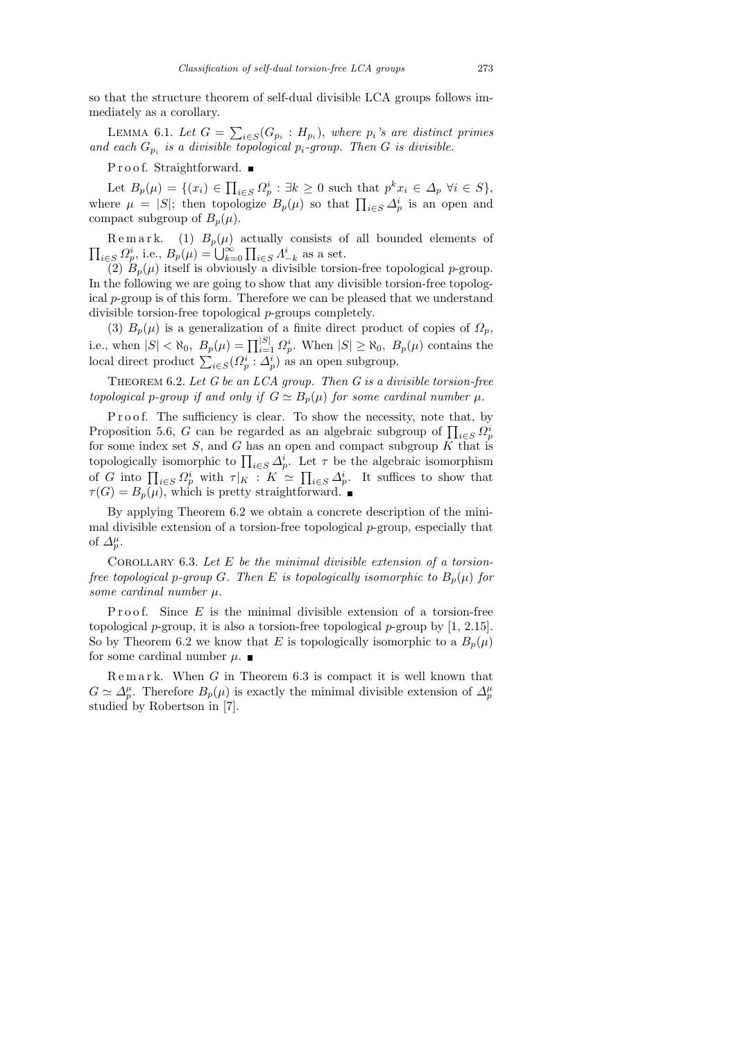so that the structure theorem of self-dual divisible LCA groups follows immediately as a corollary.

LEMMA 6.1. Let  $G = \sum_{i \in S} (G_{p_i} : H_{p_i})$ , where  $p_i$ 's are distinct primes and each  $G_{p_i}$  is a divisible topological  $p_i$ -group. Then G is divisible.

Proof. Straightforward. ■

Let  $B_p(\mu) = \{ (x_i) \in \prod_{i \in S} \Omega_p^i : \exists k \geq 0 \text{ such that } p^k x_i \in \Delta_p \ \forall i \in S \},\$ where  $\mu = |S|$ ; then topologize  $B_p(\mu)$  so that  $\prod_{i \in S} \Delta_p^i$  is an open and compact subgroup of  $B_n(\mu)$ .

 $\prod_{i\in S} \Omega_p^i$ , i.e.,  $B_p(\mu) = \bigcup_{k=0}^{\infty} \prod_{i\in S} \Lambda_{-k}^i$  as a set. Remark. (1)  $B_p(\mu)$  actually consists of all bounded elements of

(2)  $B_p(\mu)$  itself is obviously a divisible torsion-free topological p-group. In the following we are going to show that any divisible torsion-free topological p-group is of this form. Therefore we can be pleased that we understand divisible torsion-free topological p-groups completely.

(3)  $B_p(\mu)$  is a generalization of a finite direct product of copies of  $\Omega_p$ , i.e., when  $|S| < \aleph_0$ ,  $B_p(\mu) = \prod_{i=1}^{|S|} \Omega_p^i$ . When  $|S| \ge \aleph_0$ ,  $B_p(\mu)$  contains the local direct product  $\sum_{i \in S} (\Omega_p^i : \Delta_p^i)$  as an open subgroup.

THEOREM  $6.2$ . Let  $G$  be an LCA group. Then  $G$  is a divisible torsion-free topological p-group if and only if  $G \simeq B_p(\mu)$  for some cardinal number  $\mu$ .

Proof. The sufficiency is clear. To show the necessity, note that, by Proposition 5.6, G can be regarded as an algebraic subgroup of  $\prod_{i \in S} Q_p^i$ for some index set  $S$ , and  $G$  has an open and compact subgroup  $K$  that is topologically isomorphic to  $\prod_{i \in S} \Delta_p^i$ . Let  $\tau$  be the algebraic isomorphism of G into  $\prod_{i\in S} \Omega_p^i$  with  $\tau|_K : K \simeq \prod_{i\in S} \Delta_p^i$ . It suffices to show that  $\tau(G) = B_p(\mu)$ , which is pretty straightforward.

By applying Theorem 6.2 we obtain a concrete description of the minimal divisible extension of a torsion-free topological  $p$ -group, especially that of  $\Delta_p^{\mu}$ .

COROLLARY 6.3. Let  $E$  be the minimal divisible extension of a torsionfree topological p-group G. Then E is topologically isomorphic to  $B_p(\mu)$  for some cardinal number  $\mu$ .

P r o o f. Since  $E$  is the minimal divisible extension of a torsion-free topological p-group, it is also a torsion-free topological p-group by  $[1, 2.15]$ . So by Theorem 6.2 we know that E is topologically isomorphic to a  $B_p(\mu)$ for some cardinal number  $\mu$ .

 $R$ e m a r k. When  $G$  in Theorem 6.3 is compact it is well known that  $G \simeq \Delta_p^{\mu}$ . Therefore  $B_p(\mu)$  is exactly the minimal divisible extension of  $\Delta_p^{\mu}$ studied by Robertson in [7].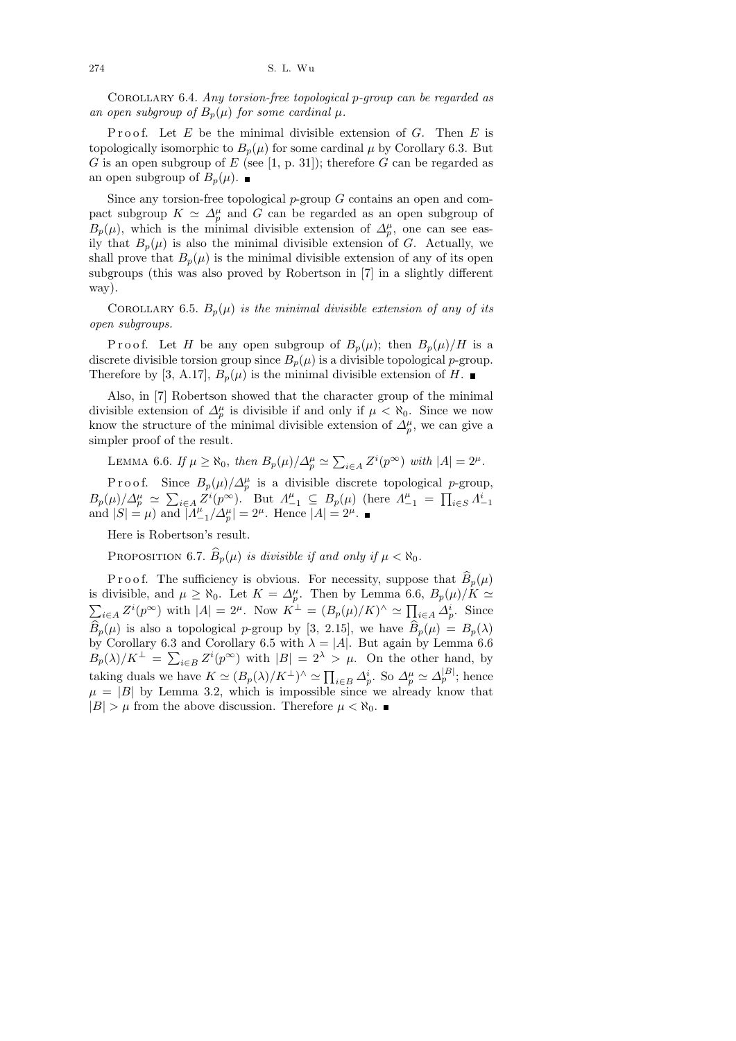274 S. L. Wu

COROLLARY 6.4. Any torsion-free topological p-group can be regarded as an open subgroup of  $B_p(\mu)$  for some cardinal  $\mu$ .

Proof. Let  $E$  be the minimal divisible extension of  $G$ . Then  $E$  is topologically isomorphic to  $B_p(\mu)$  for some cardinal  $\mu$  by Corollary 6.3. But G is an open subgroup of E (see [1, p. 31]); therefore G can be regarded as an open subgroup of  $B_p(\mu)$ .

Since any torsion-free topological  $p$ -group  $G$  contains an open and compact subgroup  $K \simeq \Delta_p^{\mu}$  and G can be regarded as an open subgroup of  $B_p(\mu)$ , which is the minimal divisible extension of  $\Delta_p^{\mu}$ , one can see easily that  $B_p(\mu)$  is also the minimal divisible extension of G. Actually, we shall prove that  $B_p(\mu)$  is the minimal divisible extension of any of its open subgroups (this was also proved by Robertson in [7] in a slightly different way).

COROLLARY 6.5.  $B_p(\mu)$  is the minimal divisible extension of any of its open subgroups.

P r o o f. Let H be any open subgroup of  $B_p(\mu)$ ; then  $B_p(\mu)/H$  is a discrete divisible torsion group since  $B_p(\mu)$  is a divisible topological p-group. Therefore by [3, A.17],  $B_p(\mu)$  is the minimal divisible extension of H.

Also, in [7] Robertson showed that the character group of the minimal divisible extension of  $\Delta_p^{\mu}$  is divisible if and only if  $\mu < \aleph_0$ . Since we now know the structure of the minimal divisible extension of  $\Delta_p^{\mu}$ , we can give a simpler proof of the result.

LEMMA 6.6. If  $\mu \ge \aleph_0$ , then  $B_p(\mu)/\Delta_p^{\mu} \simeq \sum_{i \in A} Z^i(p^{\infty})$  with  $|A| = 2^{\mu}$ .

P r o o f. Since  $B_p(\mu)/\Delta_p^{\mu}$  is a divisible discrete topological p-group,  $B_p(\mu)/\Delta_p^{\mu} \simeq \sum_{i \in A} Z^i(p^{\infty})$ . But  $\Lambda_{-1}^{\mu} \subseteq B_p(\mu)$  (here  $\Lambda_{-1}^{\mu} = \prod_{i \in S} \Lambda_{-1}^i$  and  $|S| = \mu$ ) and  $|\Lambda_{-1}^{\mu}/\Delta_p^{\mu}| = 2^{\mu}$ . Hence  $|A| = 2^{\mu}$ .  $_{-1}^{\mu}/\Delta_p^{\mu}| = 2^{\mu}$ . Hence  $|A| = 2^{\mu}$ .

Here is Robertson's result.

PROPOSITION 6.7.  $\widehat{B}_p(\mu)$  is divisible if and only if  $\mu < \aleph_0$ .

P r o o f. The sufficiency is obvious. For necessity, suppose that  $\widehat{B}_p(\mu)$ is divisible, and  $\mu \geq \aleph_0$ . Let  $K = \Delta_p^{\mu}$ . Then by Lemma 6.6,  $B_p(\mu)/K \simeq$  $\sum_{i\in A} Z^i(p^{\infty})$  with  $|A| = 2^{\mu}$ . Now  $K^{\perp} = (B_p(\mu)/K)^{\wedge} \simeq \prod_{i\in A} \Delta_p^i$ . Since  $B_p(\mu)$  is also a topological p-group by [3, 2.15], we have  $\widehat{B}_p(\mu) = B_p(\lambda)$ by Corollary 6.3 and Corollary 6.5 with  $\lambda = |A|$ . But again by Lemma 6.6  $B_p(\lambda)/K^{\perp} = \sum_{i \in B} Z^i(p^{\infty})$  with  $|B| = 2^{\lambda} > \mu$ . On the other hand, by taking duals we have  $K \simeq (B_p(\lambda)/K^{\perp})^{\wedge} \simeq \prod_{i \in B} \Delta_p^i$ . So  $\Delta_p^{\mu} \simeq \Delta_p^{|B|}$ ; hence  $\mu = |B|$  by Lemma 3.2, which is impossible since we already know that  $|B| > \mu$  from the above discussion. Therefore  $\mu < \aleph_0$ .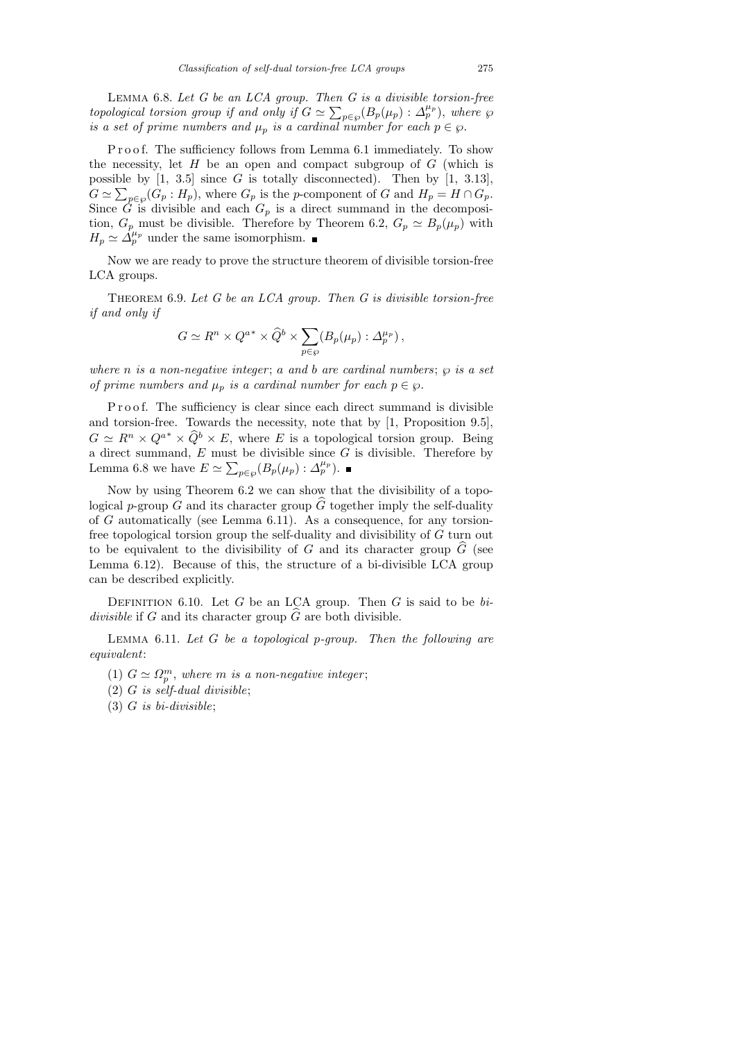LEMMA  $6.8.$  Let  $G$  be an LCA group. Then  $G$  is a divisible torsion-free topological torsion group if and only if  $G \simeq \sum_{p \in \wp} (B_p(\mu_p) : \Delta_p^{\mu_p})$ , where  $\wp$ is a set of prime numbers and  $\mu_p$  is a cardinal number for each  $p \in \wp$ .

Proof. The sufficiency follows from Lemma 6.1 immediately. To show the necessity, let  $H$  be an open and compact subgroup of  $G$  (which is possible by  $[1, 3.5]$  since G is totally disconnected). Then by  $[1, 3.13]$ ,  $G \simeq \sum_{p \in \wp}(G_p : H_p)$ , where  $G_p$  is the p-component of G and  $H_p = H \cap G_p$ . Since  $\tilde{G}$  is divisible and each  $G_p$  is a direct summand in the decomposition,  $G_p$  must be divisible. Therefore by Theorem 6.2,  $G_p \simeq B_p(\mu_p)$  with  $H_p \simeq \Delta_p^{\mu_p}$  under the same isomorphism.

Now we are ready to prove the structure theorem of divisible torsion-free LCA groups.

THEOREM 6.9. Let  $G$  be an LCA group. Then  $G$  is divisible torsion-free if and only if

$$
G \simeq R^n \times Q^{a^*} \times \widehat{Q}^b \times \sum_{p \in \wp} (B_p(\mu_p) : \Delta_p^{\mu_p}),
$$

where n is a non-negative integer; a and b are cardinal numbers;  $\varphi$  is a set of prime numbers and  $\mu_p$  is a cardinal number for each  $p \in \varphi$ .

P r o o f. The sufficiency is clear since each direct summand is divisible and torsion-free. Towards the necessity, note that by [1, Proposition 9.5],  $G \simeq R^n \times Q^{a^*} \times \widehat{Q}^b \times E$ , where E is a topological torsion group. Being a direct summand,  $E$  must be divisible since  $G$  is divisible. Therefore by Lemma 6.8 we have  $E \simeq \sum_{p \in \wp} (B_p(\mu_p) : \Delta_p^{\mu_p}).$ 

Now by using Theorem 6.2 we can show that the divisibility of a topological p-group G and its character group  $\widehat{G}$  together imply the self-duality of G automatically (see Lemma 6.11). As a consequence, for any torsionfree topological torsion group the self-duality and divisibility of G turn out to be equivalent to the divisibility of G and its character group  $\tilde{G}$  (see Lemma 6.12). Because of this, the structure of a bi-divisible LCA group can be described explicitly.

DEFINITION 6.10. Let G be an LCA group. Then G is said to be  $bi$ divisible if G and its character group  $\widehat{G}$  are both divisible.

LEMMA  $6.11$ . Let G be a topological p-group. Then the following are equivalent:

- (1)  $G \simeq \Omega_p^m$ , where m is a non-negative integer;
- $(2)$  G is self-dual divisible;
- $(3)$  G is bi-divisible;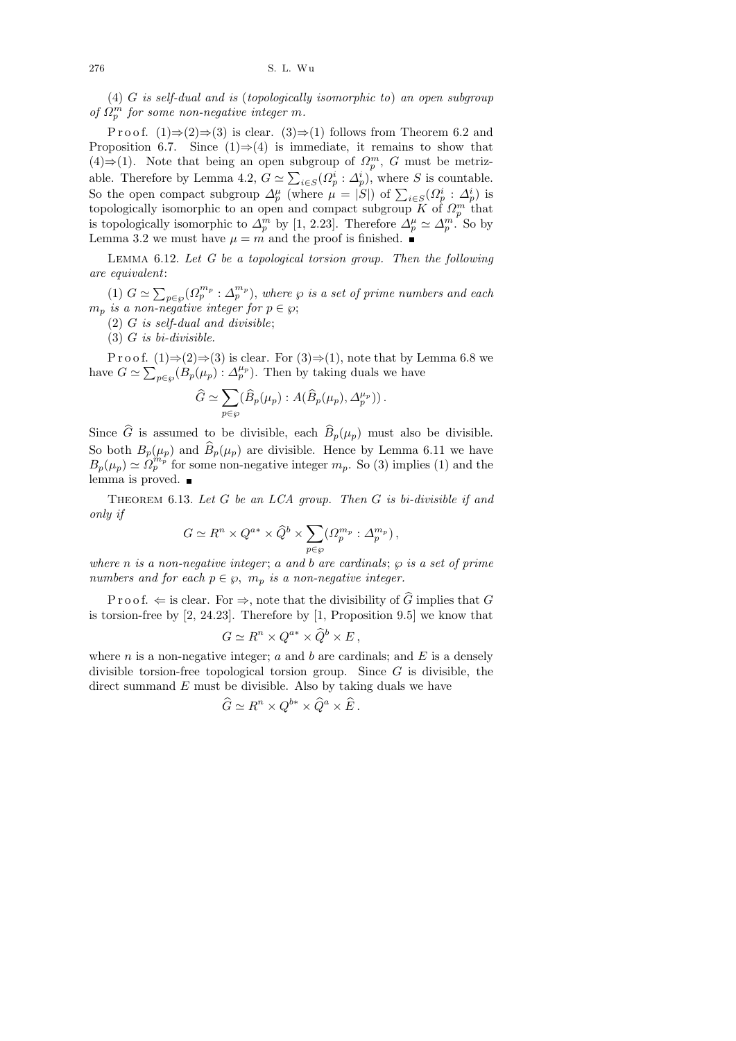(4) G is self-dual and is (topologically isomorphic to) an open subgroup of  $\Omega_p^m$  for some non-negative integer m.

P r o o f.  $(1) \Rightarrow (2) \Rightarrow (3)$  is clear.  $(3) \Rightarrow (1)$  follows from Theorem 6.2 and Proposition 6.7. Since  $(1) \Rightarrow (4)$  is immediate, it remains to show that  $(4) \Rightarrow (1)$ . Note that being an open subgroup of  $\Omega_p^m$ , G must be metrizable. Therefore by Lemma 4.2,  $G \simeq \sum_{i \in S} (\Omega_p^i : \Delta_p^i)$ , where S is countable. So the open compact subgroup  $\Delta_p^{\mu}$  (where  $\mu = |S|$ ) of  $\sum_{i \in S} (\Omega_p^i : \Delta_p^i)$  is topologically isomorphic to an open and compact subgroup  $\widetilde{K}$  of  $\Omega_p^m$  that is topologically isomorphic to  $\Delta_p^m$  by [1, 2.23]. Therefore  $\Delta_p^{\mu} \simeq \Delta_p^m$ . So by Lemma 3.2 we must have  $\mu = m$  and the proof is finished.

LEMMA  $6.12$ . Let G be a topological torsion group. Then the following are equivalent:

(1)  $G \simeq \sum_{p \in \wp} (\Omega_p^{m_p} : \Delta_p^{m_p}),$  where  $\wp$  is a set of prime numbers and each  $m_p$  is a non-negative integer for  $p \in \wp$ ;

 $(2)$  G is self-dual and divisible;

 $(3)$  G is bi-divisible.

P r o o f.  $(1) \Rightarrow (2) \Rightarrow (3)$  is clear. For  $(3) \Rightarrow (1)$ , note that by Lemma 6.8 we have  $G \simeq \sum_{p \in \wp} (B_p(\mu_p) : \Delta_p^{\mu_p})$ . Then by taking duals we have

$$
\widehat{G} \simeq \sum_{p \in \wp} (\widehat{B}_p(\mu_p) : A(\widehat{B}_p(\mu_p), \Delta_p^{\mu_p})).
$$

Since  $\widehat{G}$  is assumed to be divisible, each  $\widehat{B}_p(\mu_p)$  must also be divisible. So both  $B_p(\mu_p)$  and  $\widehat{B}_p(\mu_p)$  are divisible. Hence by Lemma 6.11 we have  $B_p(\mu_p) \simeq \Omega_p^{m_p}$  for some non-negative integer  $m_p$ . So (3) implies (1) and the lemma is proved.  $\blacksquare$ 

THEOREM 6.13. Let  $G$  be an LCA group. Then  $G$  is bi-divisible if and only if

$$
G \simeq R^n \times Q^{a*} \times \widehat{Q}^b \times \sum_{p \in \wp} (\Omega_p^{m_p} : \Delta_p^{m_p}),
$$

where n is a non-negative integer; a and b are cardinals;  $\wp$  is a set of prime numbers and for each  $p \in \varnothing$ ,  $m_p$  is a non-negative integer.

P r o o f.  $\Leftarrow$  is clear. For  $\Rightarrow$ , note that the divisibility of  $\widehat{G}$  implies that G is torsion-free by [2, 24.23]. Therefore by [1, Proposition 9.5] we know that

$$
G \simeq R^n \times Q^{a*} \times \widehat{Q}^b \times E \,,
$$

where  $n$  is a non-negative integer;  $a$  and  $b$  are cardinals; and  $E$  is a densely divisible torsion-free topological torsion group. Since  $G$  is divisible, the direct summand  $E$  must be divisible. Also by taking duals we have

$$
\widehat{G} \simeq R^n \times Q^{b*} \times \widehat{Q}^a \times \widehat{E} .
$$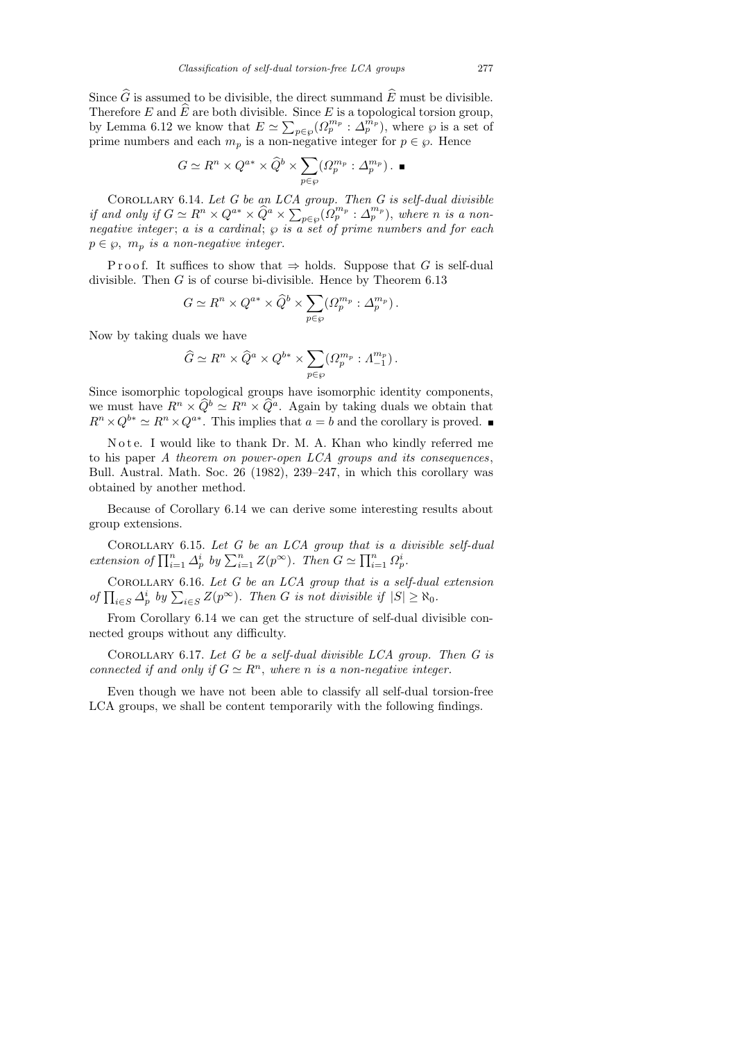$$
G \simeq R^n \times Q^{a*} \times \widehat{Q}^b \times \sum_{p \in \wp} (\Omega_p^{m_p} : \Delta_p^{m_p}) . \blacksquare
$$

COROLLARY 6.14. Let  $G$  be an  $LCA$  group. Then  $G$  is self-dual divisible if and only if  $G \simeq R^n \times Q^{a*} \times \widehat{Q}^a \times \sum_{p \in \wp} (\Omega_p^{m_p} : \Delta_p^{m_p}),$  where n is a nonnegative integer; a is a cardinal;  $\wp$  is a set of prime numbers and for each  $p \in \wp$ ,  $m_p$  is a non-negative integer.

Proof. It suffices to show that  $\Rightarrow$  holds. Suppose that G is self-dual divisible. Then  $G$  is of course bi-divisible. Hence by Theorem 6.13

$$
G \simeq R^n \times Q^{a*} \times \widehat{Q}^b \times \sum_{p \in \wp} (\Omega_p^{m_p} : \Delta_p^{m_p}).
$$

Now by taking duals we have

$$
\widehat{G} \simeq R^n \times \widehat{Q}^a \times Q^{b*} \times \sum_{p \in \wp} (\Omega_p^{m_p} : \Lambda_{-1}^{m_p}).
$$

Since isomorphic topological groups have isomorphic identity components, we must have  $R^n \times \widehat{Q}^b \simeq R^n \times \widehat{Q}^a$ . Again by taking duals we obtain that  $R^n \times Q^{b*} \simeq R^n \times Q^{a*}$ . This implies that  $a = b$  and the corollary is proved.

Note. I would like to thank Dr. M. A. Khan who kindly referred me to his paper A theorem on power-open LCA groups and its consequences, Bull. Austral. Math. Soc. 26 (1982), 239–247, in which this corollary was obtained by another method.

Because of Corollary 6.14 we can derive some interesting results about group extensions.

COROLLARY 6.15. Let  $G$  be an  $LCA$  group that is a divisible self-dual extension of  $\prod_{i=1}^n \Delta_p^i$  by  $\sum_{i=1}^n Z(p^{\infty})$ . Then  $G \simeq \prod_{i=1}^n \Omega_p^i$ .

COROLLARY 6.16. Let  $G$  be an LCA group that is a self-dual extension of  $\prod_{i\in S} \Delta_p^i$  by  $\sum_{i\in S} Z(p^{\infty})$ . Then G is not divisible if  $|S| \geq \aleph_0$ .

From Corollary 6.14 we can get the structure of self-dual divisible connected groups without any difficulty.

COROLLARY 6.17. Let  $G$  be a self-dual divisible LCA group. Then  $G$  is connected if and only if  $G \simeq R^n$ , where n is a non-negative integer.

Even though we have not been able to classify all self-dual torsion-free LCA groups, we shall be content temporarily with the following findings.